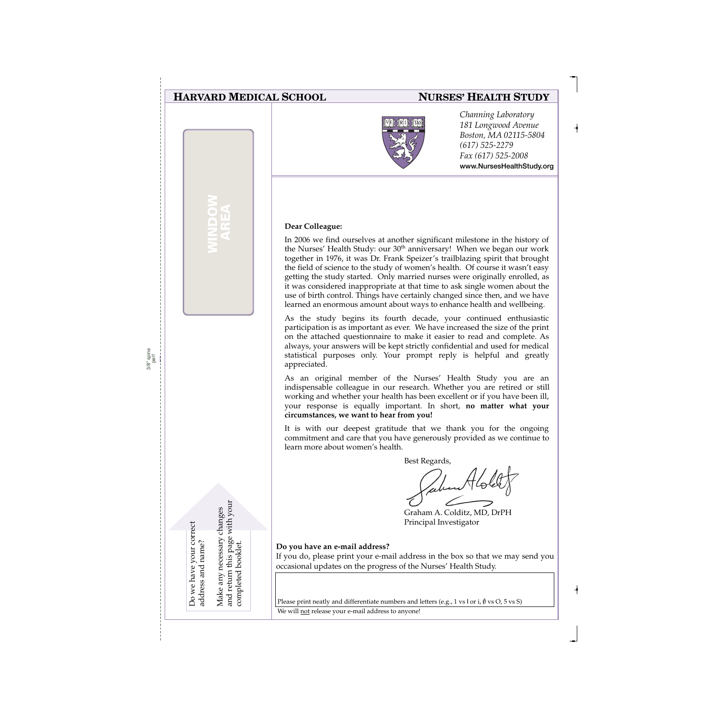# **HARVARD MEDICAL SCHOOL**

**WINDOW AREA**

# **NURSES' HEALTH STUDY**



*Channing Laboratory 181 Longwood Avenue Boston, MA 02115-5804 (617) 525-2279 Fax (617) 525-2008* **www.NursesHealthStudy.org** 

## **Dear Colleague:**

In 2006 we find ourselves at another significant milestone in the history of the Nurses' Health Study: our  $30<sup>th</sup>$  anniversary! When we began our work together in 1976, it was Dr. Frank Speizer's trailblazing spirit that brought the field of science to the study of women's health. Of course it wasn't easy getting the study started. Only married nurses were originally enrolled, as it was considered inappropriate at that time to ask single women about the use of birth control. Things have certainly changed since then, and we have learned an enormous amount about ways to enhance health and wellbeing.

As the study begins its fourth decade, your continued enthusiastic participation is as important as ever. We have increased the size of the print on the attached questionnaire to make it easier to read and complete. As always, your answers will be kept strictly confidential and used for medical statistical purposes only. Your prompt reply is helpful and greatly appreciated.

As an original member of the Nurses' Health Study you are an indispensable colleague in our research. Whether you are retired or still working and whether your health has been excellent or if you have been ill, your response is equally important. In short, **no matter what your circumstances, we want to hear from you!**

It is with our deepest gratitude that we thank you for the ongoing commitment and care that you have generously provided as we continue to learn more about women's health.

Best Regards,

Graham A. Colditz, MD, DrPH Principal Investigator

**Do you have an e-mail address?**

If you do, please print your e-mail address in the box so that we may send you occasional updates on the progress of the Nurses' Health Study.

Please print neatly and differentiate numbers and letters (e.g., 1 vs l or i,  $\emptyset$  vs O, 5 vs S)

We will not release your e-mail address to anyone!

Do we have your correct Do we have your correct

and return this page with your and return this page with your Make any necessary changes Make any necessary changes address and name? address and name? completed booklet. completed booklet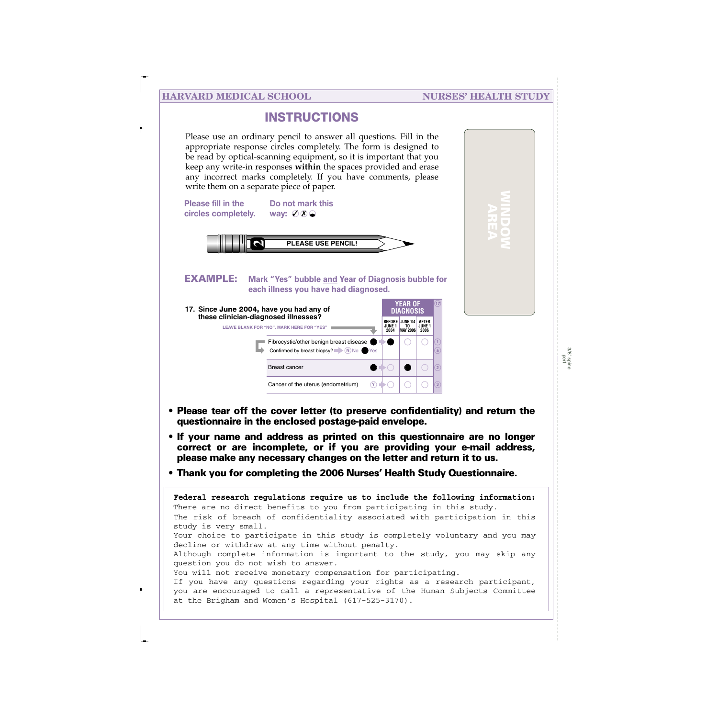# **HARVARD MEDICAL SCHOOL NURSES' HEALTH STUDY**

# **INSTRUCTIONS**

Please use an ordinary pencil to answer all questions. Fill in the appropriate response circles completely. The form is designed to be read by optical-scanning equipment, so it is important that you keep any write-in responses **within** the spaces provided and erase any incorrect marks completely. If you have comments, please write them on a separate piece of paper.



- **Please tear off the cover letter (to preserve confidentiality) and return the questionnaire in the enclosed postage-paid envelope.**
- **If your name and address as printed on this questionnaire are no longer correct or are incomplete, or if you are providing your e-mail address, please make any necessary changes on the letter and return it to us.**
- **Thank you for completing the 2006 Nurses' Health Study Questionnaire.**

The risk of breach of confidentiality associated with participation in this study is very small. Your choice to participate in this study is completely voluntary and you may decline or withdraw at any time without penalty. Although complete information is important to the study, you may skip any question you do not wish to answer. You will not receive monetary compensation for participating. If you have any questions regarding your rights as a research participant, you are encouraged to call a representative of the Human Subjects Committee at the Brigham and Women's Hospital (617-525-3170). **Federal research regulations require us to include the following information:** There are no direct benefits to you from participating in this study.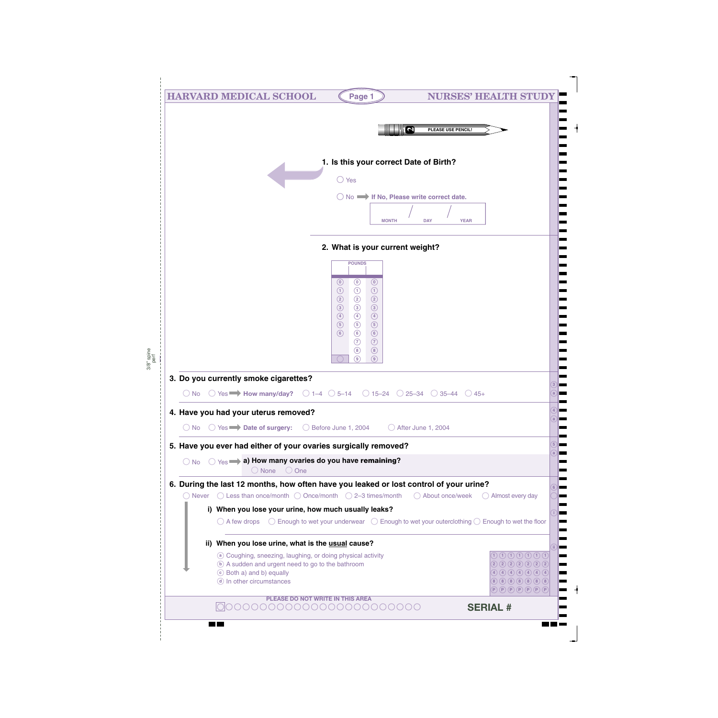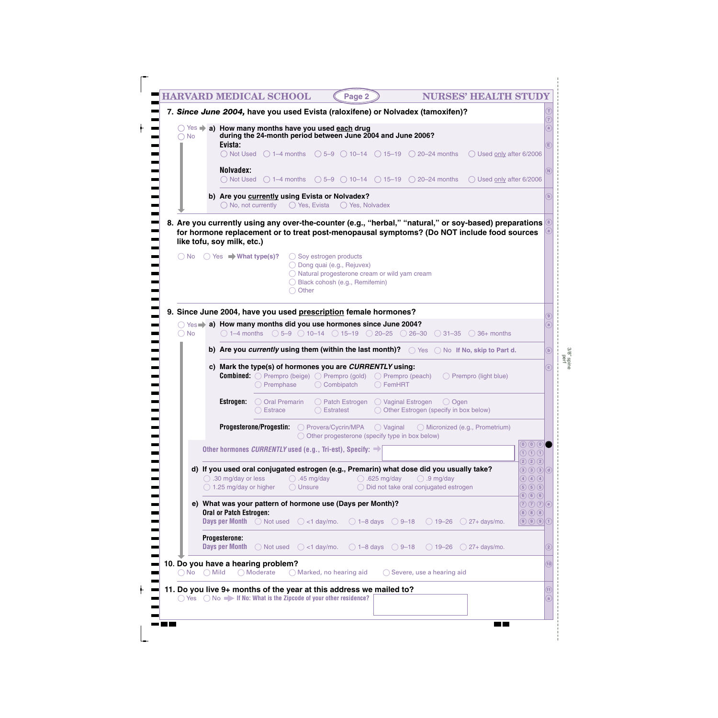| $\bigcap$ No                  | ○ Yes > a) How many months have you used each drug<br>during the 24-month period between June 2004 and June 2006?                                                                                                                                               |                                                                        |                           |
|-------------------------------|-----------------------------------------------------------------------------------------------------------------------------------------------------------------------------------------------------------------------------------------------------------------|------------------------------------------------------------------------|---------------------------|
|                               | Evista:<br>◯ Not Used $\bigcirc$ 1-4 months $\bigcirc$ 5-9 $\bigcirc$ 10-14 $\bigcirc$ 15-19 $\bigcirc$ 20-24 months $\bigcirc$ Used only after 6/2006                                                                                                          |                                                                        |                           |
|                               | Nolvadex:<br>$\bigcirc$ 1–4 months $\bigcirc$ 5–9 $\bigcirc$ 10–14 $\bigcirc$ 15–19 $\bigcirc$ 20–24 months $\bigcirc$ Used only after 6/2006<br>◯ Not Used                                                                                                     |                                                                        |                           |
|                               | b) Are you currently using Evista or Nolvadex?<br>$\bigcirc$ No, not currently $\bigcirc$ Yes, Evista<br>◯ Yes, Nolvadex                                                                                                                                        |                                                                        |                           |
|                               | 8. Are you currently using any over-the-counter (e.g., "herbal," "natural," or soy-based) preparations<br>for hormone replacement or to treat post-menopausal symptoms? (Do NOT include food sources<br>like tofu, soy milk, etc.)                              |                                                                        |                           |
|                               | $\bigcirc$ No $\bigcirc$ Yes $\rightarrow$ What type(s)?<br>$\bigcirc$ Soy estrogen products<br>◯ Dong quai (e.g., Rejuvex)<br>◯ Natural progesterone cream or wild yam cream<br>Black cohosh (e.g., Remifemin)<br>Other                                        |                                                                        |                           |
|                               | 9. Since June 2004, have you used prescription female hormones?                                                                                                                                                                                                 |                                                                        |                           |
| $\bigcirc$ No                 | $\bigcirc$ Yes $\Rightarrow$ a) How many months did you use hormones since June 2004?<br>$\bigcirc$ 1–4 months $\bigcirc$ 5–9 $\bigcirc$ 10–14 $\bigcirc$ 15–19 $\bigcirc$ 20–25 $\bigcirc$ 26–30 $\bigcirc$ 31–35 $\bigcirc$ 36+ months                        |                                                                        |                           |
|                               |                                                                                                                                                                                                                                                                 |                                                                        |                           |
|                               | b) Are you currently using them (within the last month)? $\bigcirc$ Yes $\bigcirc$ No If No, skip to Part d.                                                                                                                                                    |                                                                        | $\left[\mathbf{b}\right]$ |
|                               | c) Mark the type(s) of hormones you are CURRENTLY using:<br><b>Combined:</b> $\bigcirc$ Prempro (beige) $\bigcirc$ Prempro (gold)<br>$\bigcirc$ Prempro (peach)<br>$\bigcirc$ Prempro (light blue)<br>◯ FemHRT<br>$\bigcirc$ Premphase<br>$\bigcirc$ Combipatch |                                                                        | $\mathbf{C}$              |
|                               | Estrogen:<br>◯ Oral Premarin<br>$\bigcirc$ Ogen<br>$\bigcirc$ Estratest<br>◯ Other Estrogen (specify in box below)<br>$\bigcirc$ Estrace                                                                                                                        |                                                                        |                           |
|                               | Progesterone/Progestin:<br>$\bigcirc$ Provera/Cycrin/MPA $\bigcirc$ Vaginal<br>◯ Micronized (e.g., Prometrium)<br>◯ Other progesterone (specify type in box below)                                                                                              |                                                                        |                           |
|                               | Other hormones <i>CURRENTLY</i> used (e.g., Tri-est), Specify:                                                                                                                                                                                                  | $\left( 0\right) 0\left( 0\right)$<br>$\bigcirc$ $\bigcirc$ $\bigcirc$ |                           |
|                               | d) If you used oral conjugated estrogen (e.g., Premarin) what dose did you usually take?                                                                                                                                                                        | $2)$ $(2)$ $(2)$<br>(3)(3)(3)(d)                                       |                           |
|                               | $\bigcirc$ .30 mg/day or less<br>$\bigcirc$ .45 mg/day<br>$\bigcirc$ .625 mg/day<br>$\bigcirc$ .9 mg/day<br>$\bigcirc$ 1.25 mg/day or higher<br>$\bigcirc$ Unsure<br>◯ Did not take oral conjugated estrogen                                                    | $\bigcirc$ $\bigcirc$ $\bigcirc$ $\bigcirc$<br>(5)(5)(5)               |                           |
|                               | e) What was your pattern of hormone use (Days per Month)?                                                                                                                                                                                                       | $6)$ $6)$ $6)$<br>$\partial\partial\Omega$                             |                           |
|                               | <b>Oral or Patch Estrogen:</b><br><b>Days per Month</b> $\bigcirc$ Not used $\bigcirc$ <1 day/mo. $\bigcirc$ 1-8 days $\bigcirc$ 9-18 $\bigcirc$ 19-26 $\bigcirc$ 27+ days/mo.                                                                                  | (8)(8)(8)<br>$\left( 9\right) 0$                                       |                           |
|                               |                                                                                                                                                                                                                                                                 |                                                                        |                           |
|                               | <b>Progesterone:</b><br><b>Days per Month</b><br>O Not used $\bigcirc$ <1 day/mo. $\bigcirc$ 1-8 days $\bigcirc$ 9-18 $\bigcirc$ 19-26 $\bigcirc$ 27+ days/mo.                                                                                                  |                                                                        | $\boxed{2}$               |
| $\bigcirc$ No $\bigcirc$ Mild | 10. Do you have a hearing problem?<br>◯ Moderate<br>◯ Marked, no hearing aid<br>◯ Severe, use a hearing aid                                                                                                                                                     |                                                                        | 10)                       |

 $\frac{1}{1}$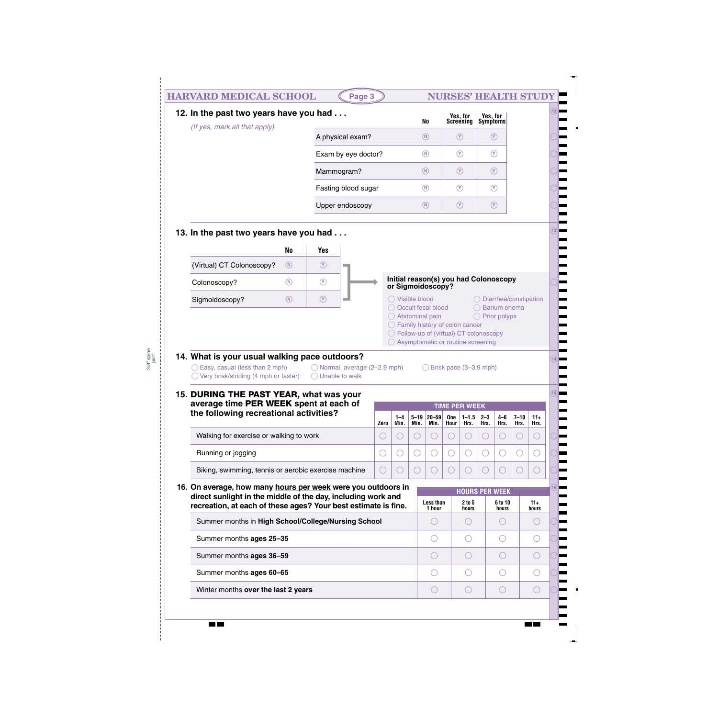| 12. In the past two years have you had                                                                                                                                               |                          |                              |                                                            |      |                 |                                      |                                                 | Yes, for             |                                               | Yes, for                                                                                |                 |                       |               |
|--------------------------------------------------------------------------------------------------------------------------------------------------------------------------------------|--------------------------|------------------------------|------------------------------------------------------------|------|-----------------|--------------------------------------|-------------------------------------------------|----------------------|-----------------------------------------------|-----------------------------------------------------------------------------------------|-----------------|-----------------------|---------------|
| (If yes, mark all that apply)                                                                                                                                                        |                          |                              |                                                            |      |                 |                                      | N <sub>0</sub>                                  | <b>Screening</b>     |                                               | <b>Symptoms</b>                                                                         |                 |                       |               |
|                                                                                                                                                                                      |                          |                              | A physical exam?                                           |      |                 |                                      | $\circledR$                                     | $\circledcirc$       |                                               | $\circledcirc$                                                                          |                 |                       |               |
|                                                                                                                                                                                      |                          |                              | Exam by eye doctor?                                        |      |                 |                                      | $\circledR$                                     | $\circledcirc$       |                                               | $\circledcirc$                                                                          |                 |                       |               |
|                                                                                                                                                                                      |                          |                              | Mammogram?                                                 |      |                 |                                      | $\circledR$                                     | $\circledcirc$       |                                               | $\circled{r}$                                                                           |                 |                       |               |
|                                                                                                                                                                                      |                          |                              | Fasting blood sugar                                        |      |                 |                                      | $\circledR$                                     | $\circledcirc$       |                                               | $\circledcirc$                                                                          |                 |                       |               |
|                                                                                                                                                                                      |                          |                              | Upper endoscopy                                            |      |                 |                                      | $\circledR$                                     | $\circledcirc$       |                                               | $\circledcirc$                                                                          |                 |                       |               |
|                                                                                                                                                                                      |                          |                              |                                                            |      |                 |                                      |                                                 |                      |                                               |                                                                                         |                 |                       |               |
| 13. In the past two years have you had                                                                                                                                               |                          |                              |                                                            |      |                 |                                      |                                                 |                      |                                               |                                                                                         |                 |                       |               |
| (Virtual) CT Colonoscopy?                                                                                                                                                            | <b>No</b><br>$\circledR$ | <b>Yes</b><br>$\circledcirc$ |                                                            |      |                 |                                      |                                                 |                      |                                               |                                                                                         |                 |                       |               |
| Colonoscopy?                                                                                                                                                                         | $\circledR$              | $^{\circledR}$               |                                                            |      |                 |                                      |                                                 |                      |                                               | Initial reason(s) you had Colonoscopy                                                   |                 |                       |               |
|                                                                                                                                                                                      |                          |                              |                                                            |      |                 | or Sigmoidoscopy?<br>◯ Visible blood |                                                 |                      |                                               |                                                                                         |                 |                       |               |
| Sigmoidoscopy?                                                                                                                                                                       | $\circledR$              | $\circledcirc$               |                                                            |      |                 | ◯ Occult fecal blood                 |                                                 |                      |                                               |                                                                                         | Barium enema    | Diarrhea/constipation |               |
|                                                                                                                                                                                      |                          |                              |                                                            |      |                 | ◯ Abdominal pain                     |                                                 |                      |                                               | $\bigcirc$ Prior polyps                                                                 |                 |                       |               |
|                                                                                                                                                                                      |                          |                              |                                                            |      |                 |                                      |                                                 |                      |                                               |                                                                                         |                 |                       |               |
|                                                                                                                                                                                      |                          |                              |                                                            |      |                 |                                      |                                                 |                      | ◯ Family history of colon cancer              |                                                                                         |                 |                       |               |
|                                                                                                                                                                                      |                          |                              |                                                            |      |                 |                                      |                                                 |                      |                                               | ◯ Follow-up of (virtual) CT colonoscopy<br>$\bigcirc$ Asymptomatic or routine screening |                 |                       |               |
|                                                                                                                                                                                      |                          |                              |                                                            |      |                 |                                      |                                                 |                      |                                               |                                                                                         |                 |                       |               |
|                                                                                                                                                                                      |                          |                              |                                                            |      |                 |                                      |                                                 |                      |                                               |                                                                                         |                 |                       |               |
| ◯ Easy, casual (less than 2 mph)<br>◯ Very brisk/striding (4 mph or faster)                                                                                                          |                          |                              | ◯ Normal, average (2-2.9 mph)<br>$\bigcirc$ Unable to walk |      |                 |                                      |                                                 |                      |                                               | ◯ Brisk pace (3–3.9 mph)                                                                |                 |                       |               |
|                                                                                                                                                                                      |                          |                              |                                                            |      |                 |                                      |                                                 |                      |                                               |                                                                                         |                 |                       |               |
|                                                                                                                                                                                      |                          |                              |                                                            |      |                 |                                      |                                                 |                      |                                               |                                                                                         |                 |                       |               |
| average time PER WEEK spent at each of                                                                                                                                               |                          |                              |                                                            |      |                 |                                      |                                                 | <b>TIME PER WEEK</b> |                                               |                                                                                         |                 |                       |               |
| the following recreational activities?                                                                                                                                               |                          |                              |                                                            | Zero | $1 - 4$<br>Min. | $5 - 19$<br>Min.                     | $20 - 59$<br>Min.                               | One<br>Hour          | $1 - 1.5$<br>Hrs.                             | $2 - 3$<br>Hrs.                                                                         | $4 - 6$<br>Hrs. | $7 - 10$<br>Hrs.      | $11+$<br>Hrs. |
| Walking for exercise or walking to work                                                                                                                                              |                          |                              |                                                            | O    | O               | $(\ )$                               | $(\ )$                                          |                      |                                               |                                                                                         | C               |                       |               |
| Running or jogging                                                                                                                                                                   |                          |                              |                                                            | O    | O               | 0                                    | $\left( \begin{array}{c} 1 \end{array} \right)$ | 0                    | O                                             | ( )                                                                                     | O               | ( )                   | $(\ )$        |
| Biking, swimming, tennis or aerobic exercise machine                                                                                                                                 |                          |                              |                                                            | O    | O               | ◯                                    | $\left( \begin{array}{c} \end{array} \right)$   | $(\ )$               | O                                             | ( )                                                                                     | C               | ( )                   | 0             |
|                                                                                                                                                                                      |                          |                              |                                                            |      |                 |                                      |                                                 |                      |                                               |                                                                                         |                 |                       |               |
| direct sunlight in the middle of the day, including work and<br>recreation, at each of these ages? Your best estimate is fine.                                                       |                          |                              |                                                            |      |                 |                                      | Less than                                       |                      | 2 to 5                                        | <b>HOURS PER WEEK</b>                                                                   | 6 to 10         |                       | $11+$         |
| Summer months in High School/College/Nursing School                                                                                                                                  |                          |                              |                                                            |      |                 |                                      | 1 hour<br>$(\ )$                                |                      | hours<br>$($ )                                |                                                                                         | hours<br>О      |                       | hours         |
| Summer months ages 25-35                                                                                                                                                             |                          |                              |                                                            |      |                 |                                      | $(\ )$                                          |                      | $(\ )$                                        |                                                                                         | $\bigcirc$      |                       | ( )           |
| Summer months ages 36-59                                                                                                                                                             |                          |                              |                                                            |      |                 |                                      | $\left( \begin{array}{c} \end{array} \right)$   |                      | $\left( \begin{array}{c} \end{array} \right)$ |                                                                                         | $\bigcirc$      |                       | 0             |
| 14. What is your usual walking pace outdoors?<br>15. DURING THE PAST YEAR, what was your<br>16. On average, how many hours per week were you outdoors in<br>Summer months ages 60-65 |                          |                              |                                                            |      |                 |                                      | $( \ )$                                         |                      | $(\ )$                                        |                                                                                         | $\bigcirc$      |                       |               |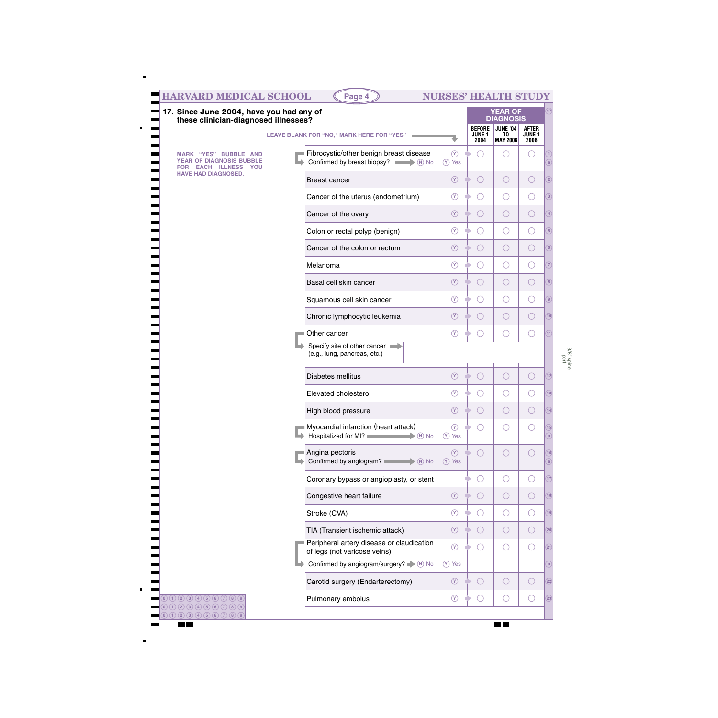| 17. Since June 2004, have you had any of these clinician-diagnosed illnesses?                   |                                                                                              |                             |                                               | <b>YEAR OF</b><br><b>DIAGNOSIS</b>                   |                                       | $\langle 17 \rangle$ |
|-------------------------------------------------------------------------------------------------|----------------------------------------------------------------------------------------------|-----------------------------|-----------------------------------------------|------------------------------------------------------|---------------------------------------|----------------------|
|                                                                                                 | LEAVE BLANK FOR "NO," MARK HERE FOR "YES"                                                    |                             | <b>BEFORE</b><br><b>JUNE 1</b><br>2004        | <b>JUNE '04</b><br>T <sub>0</sub><br><b>MAY 2006</b> | <b>AFTER</b><br><b>JUNE 1</b><br>2006 |                      |
| <b>MARK "YES" BUBBLE AND</b><br><b>YEAR OF DIAGNOSIS BUBBLE</b><br><b>ILLNESS</b><br><b>YOU</b> | Fibrocystic/other benign breast disease<br>Confirmed by breast biopsy? $\blacksquare$ (N) No | $\circledcirc$<br>$(Y)$ Yes |                                               | ◯                                                    | ◯                                     |                      |
| <b>EACH</b><br><b>HAVE HAD DIAGNOSED.</b>                                                       | <b>Breast cancer</b>                                                                         | $\circledcirc$              | $\bigcirc$                                    | O                                                    | $\bigcirc$                            |                      |
|                                                                                                 | Cancer of the uterus (endometrium)                                                           | $\circledcirc$              | O                                             | $\bigcirc$                                           | O                                     |                      |
|                                                                                                 | Cancer of the ovary                                                                          | $\circledcirc$              | O                                             | O                                                    | $\bigcirc$                            |                      |
|                                                                                                 | Colon or rectal polyp (benign)                                                               | $\circledcirc$              | O                                             | $\bigcirc$                                           | O                                     |                      |
|                                                                                                 | Cancer of the colon or rectum                                                                | $\circledcirc$              | O                                             | O                                                    | O                                     |                      |
|                                                                                                 | Melanoma                                                                                     | $\circledcirc$              | O                                             | $\bigcirc$                                           | O                                     |                      |
|                                                                                                 | Basal cell skin cancer                                                                       | $\circledcirc$              | O                                             | O                                                    | $\bigcirc$                            |                      |
|                                                                                                 | Squamous cell skin cancer                                                                    | $\circledcirc$              | O                                             | O                                                    | O                                     |                      |
|                                                                                                 | Chronic lymphocytic leukemia                                                                 | $\circledcirc$              | O                                             | O                                                    | $\bigcirc$                            |                      |
|                                                                                                 | Other cancer<br>Specify site of other cancer                                                 | $\circledcirc$              | O                                             | O                                                    | O                                     |                      |
|                                                                                                 | (e.g., lung, pancreas, etc.)<br>Diabetes mellitus                                            | $\circledcirc$              | $\bigcirc$<br>$\rightarrow$                   | $\bigcirc$                                           | $\bigcirc$                            |                      |
|                                                                                                 | Elevated cholesterol                                                                         | $\circledcirc$              | ()                                            | O                                                    | O                                     |                      |
|                                                                                                 | High blood pressure                                                                          | $\circledcirc$              | $\bigcirc$                                    | $\bigcirc$                                           | O                                     |                      |
|                                                                                                 | Myocardial infarction (heart attack)<br>Hospitalized for MI?<br>$\blacktriangleright$ (N) No | $\circled{r}$<br>$(Y)$ Yes  | ◯                                             | $\bigcirc$                                           | O                                     |                      |
|                                                                                                 | Angina pectoris<br>Confirmed by angiogram?<br>$\blacktriangleright$ (N) No                   | $\circledcirc$<br>$(Y)$ Yes | $\left( \begin{array}{c} \end{array} \right)$ | O                                                    | O                                     | (16)                 |
|                                                                                                 | Coronary bypass or angioplasty, or stent                                                     |                             | O                                             | $\bigcirc$                                           | O                                     |                      |
|                                                                                                 | Congestive heart failure                                                                     | $\circledcirc$              | $\bigcirc$                                    | $\bigcirc$                                           | O                                     |                      |
|                                                                                                 | Stroke (CVA)                                                                                 | $\circledcirc$              | $\bigcirc$                                    | $\bigcirc$                                           | O                                     |                      |
|                                                                                                 | TIA (Transient ischemic attack)                                                              | $\circledcirc$              | $\left( \begin{array}{c} \end{array} \right)$ | O                                                    | O                                     |                      |
|                                                                                                 | Peripheral artery disease or claudication<br>of legs (not varicose veins)                    | $\circled{r}$               |                                               | $\bigcirc$                                           | O                                     |                      |
|                                                                                                 | Confirmed by angiogram/surgery? $\blacktriangleright$ (N) No                                 | $(Y)$ Yes                   |                                               |                                                      |                                       |                      |
|                                                                                                 | Carotid surgery (Endarterectomy)                                                             | $\circledcirc$              | $\left(\begin{array}{c} \end{array}\right)$   | $\bigcirc$                                           | O                                     |                      |
| 0(1230456789)<br>$\underline{0}$ (1) (2) (3) (4) (5) (6) (7) (8) (9)                            | Pulmonary embolus                                                                            | $\circledcirc$              |                                               | O                                                    | O                                     |                      |

3/8" spine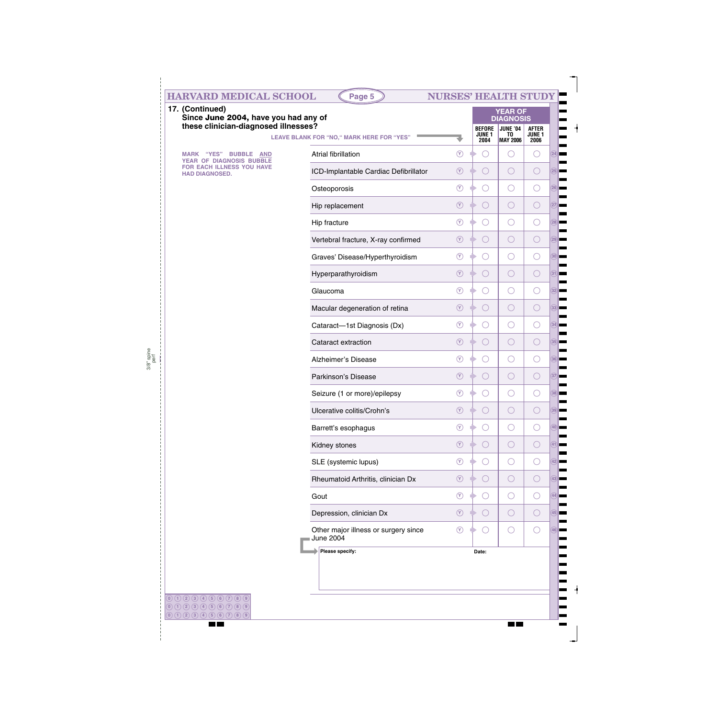| these clinician-diagnosed illnesses?                      | Since June 2004, have you had any of                     |                 | <b>BEFORE</b><br><b>JUNE 1</b>              | <b>DIAGNOSIS</b><br><b>JUNE '04</b><br>TO | <b>AFTER</b><br><b>JUNE 1</b>               |      |
|-----------------------------------------------------------|----------------------------------------------------------|-----------------|---------------------------------------------|-------------------------------------------|---------------------------------------------|------|
|                                                           | <b>LEAVE BLANK FOR "NO," MARK HERE FOR "YES"</b>         |                 | 2004                                        | <b>MAY 2006</b>                           | 2006                                        |      |
| MARK "YES" BUBBLE AND<br>YEAR OF DIAGNOSIS BUBBLE         | <b>Atrial fibrillation</b>                               | $\circledcirc$  | $(\ )$                                      | O                                         |                                             | (24) |
| <b>FOR EACH ILLNESS YOU HAVE</b><br><b>HAD DIAGNOSED.</b> | ICD-Implantable Cardiac Defibrillator                    | $\circledcirc$  | $\bigcirc$                                  | $\bigcirc$                                | $\left(\begin{array}{c} \end{array}\right)$ | (25) |
|                                                           | Osteoporosis                                             | $\circledcirc$  | $\left(\begin{array}{c} \end{array}\right)$ | $\bigcirc$                                | $(\ )$                                      | (26) |
|                                                           | Hip replacement                                          | $\circledcirc$  | $\bigcirc$                                  | $\bigcirc$                                | O                                           |      |
|                                                           | Hip fracture                                             | $\circledcirc$  | $\left(\begin{array}{c} \end{array}\right)$ | $\bigcirc$                                | $(\ )$                                      | (28) |
|                                                           | Vertebral fracture, X-ray confirmed                      | $\circledcirc$  | $\bigcirc$                                  | $\bigcirc$                                | O                                           |      |
|                                                           | Graves' Disease/Hyperthyroidism                          | $\circledcirc$  | ◯                                           | $\bigcirc$                                | $\left(\cdot\right)$                        |      |
|                                                           | Hyperparathyroidism                                      | $\circledcirc$  | $\bigcirc$                                  | O                                         | O                                           |      |
|                                                           | Glaucoma                                                 | $\circledcirc$  | ∩                                           | $\bigcirc$                                | $\left(\cdot\right)$                        |      |
|                                                           | Macular degeneration of retina                           | $\circledcirc$  | ◯                                           | O                                         | O                                           |      |
|                                                           | Cataract-1st Diagnosis (Dx)                              | $\circledcirc$  | ∩                                           | O                                         | $\left(\cdot\right)$                        |      |
|                                                           | Cataract extraction                                      | $\circledcirc$  | ◯                                           | O                                         | O                                           |      |
|                                                           | Alzheimer's Disease                                      | $\circledcirc$  | ∩                                           | O                                         | $\left(\cdot\right)$                        |      |
|                                                           | Parkinson's Disease                                      | $\circledcirc$  | ◯                                           | O                                         | $\bigcirc$                                  |      |
|                                                           | Seizure (1 or more)/epilepsy                             | $\circledcirc$  | O                                           | $\bigcirc$                                | ∩                                           |      |
|                                                           | Ulcerative colitis/Crohn's                               | $(\widehat{Y})$ | $\bigcirc$                                  |                                           |                                             |      |
|                                                           | Barrett's esophagus                                      | $\circledcirc$  | ()                                          | О                                         |                                             |      |
|                                                           | Kidney stones                                            | $\circledcirc$  | $\bigcirc$                                  | O                                         |                                             |      |
|                                                           | SLE (systemic lupus)                                     | $\circled{r}$   | O                                           | O                                         | ( )                                         |      |
|                                                           | Rheumatoid Arthritis, clinician Dx                       | $\circledcirc$  | O                                           | $\bigcirc$                                |                                             |      |
|                                                           | Gout                                                     | $\circledR$     | O                                           | O                                         |                                             |      |
|                                                           | Depression, clinician Dx                                 | $\circled{r}$   | O                                           | $\bigcirc$                                |                                             |      |
|                                                           | Other major illness or surgery since<br><b>June 2004</b> | $\circledcirc$  | O                                           | $\bigcirc$                                |                                             |      |
|                                                           | Please specify:                                          |                 | Date:                                       |                                           |                                             |      |

 $\blacksquare$ 

3/8" spine perf

 $\frac{1}{\sqrt{2}}$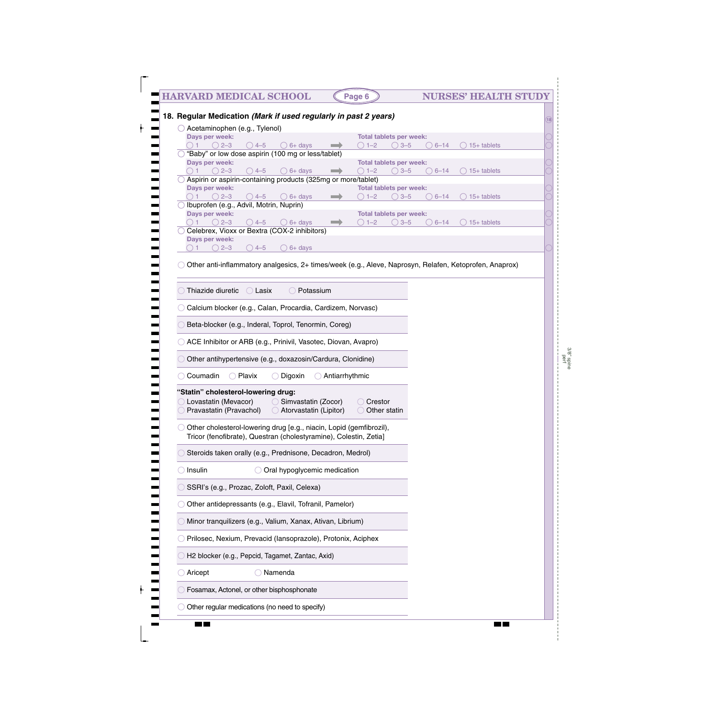| <b>HARVARD MEDICAL SCHOOL</b>                                                                                | Page 6                                           |                                   | <b>NURSES' HEALTH STUDY</b> |  |
|--------------------------------------------------------------------------------------------------------------|--------------------------------------------------|-----------------------------------|-----------------------------|--|
| 18. Regular Medication (Mark if used regularly in past 2 years)                                              |                                                  |                                   |                             |  |
| Acetaminophen (e.g., Tylenol)                                                                                |                                                  |                                   |                             |  |
| Days per week:                                                                                               | <b>Total tablets per week:</b>                   |                                   |                             |  |
| $\bigcirc$ 2-3<br>$\bigcirc$ 4-5<br>$\bigcirc$ 6+ days<br>"Baby" or low dose aspirin (100 mg or less/tablet) | $\bigcirc$ 1–2                                   | $\bigcirc$ 3-5<br>$\bigcirc$ 6–14 | 15+ tablets                 |  |
| Days per week:                                                                                               | <b>Total tablets per week:</b>                   |                                   |                             |  |
| $\bigcirc$ 2-3<br>$\bigcirc$ 4-5<br>$\bigcirc$ 6+ days                                                       | $\bigcirc$ 1–2                                   | $\bigcirc$ 3-5<br>$6 - 14$        | 15+ tablets                 |  |
| Aspirin or aspirin-containing products (325mg or more/tablet)<br>Days per week:                              | <b>Total tablets per week:</b>                   |                                   |                             |  |
| $\bigcirc$ 2-3<br>$\bigcirc$ 4-5<br>$\bigcirc$ 6+ days                                                       | $\bigcirc$ 1-2                                   | $\bigcirc$ 3-5<br>$6 - 14$        | $15+$ tablets               |  |
| Ibuprofen (e.g., Advil, Motrin, Nuprin)                                                                      |                                                  |                                   |                             |  |
| Days per week:<br>$\bigcirc$ 2-3<br>$\bigcirc$ 4-5<br>$\bigcirc$ 6+ days                                     | <b>Total tablets per week:</b><br>$\bigcirc$ 1–2 | $\bigcirc$ 3–5<br>$\bigcirc$ 6–14 | $15+$ tablets               |  |
| Celebrex, Vioxx or Bextra (COX-2 inhibitors)                                                                 |                                                  |                                   |                             |  |
| Days per week:                                                                                               |                                                  |                                   |                             |  |
| $\bigcirc$ 2-3<br>$\bigcirc$ 4–5<br>$6+$ days                                                                |                                                  |                                   |                             |  |
| Other anti-inflammatory analgesics, 2+ times/week (e.g., Aleve, Naprosyn, Relafen, Ketoprofen, Anaprox)      |                                                  |                                   |                             |  |
|                                                                                                              |                                                  |                                   |                             |  |
| Thiazide diuretic<br>◯ Lasix<br>Potassium                                                                    |                                                  |                                   |                             |  |
| Calcium blocker (e.g., Calan, Procardia, Cardizem, Norvasc)                                                  |                                                  |                                   |                             |  |
|                                                                                                              |                                                  |                                   |                             |  |
| Beta-blocker (e.g., Inderal, Toprol, Tenormin, Coreg)                                                        |                                                  |                                   |                             |  |
| ACE Inhibitor or ARB (e.g., Prinivil, Vasotec, Diovan, Avapro)                                               |                                                  |                                   |                             |  |
| Other antihypertensive (e.g., doxazosin/Cardura, Clonidine)                                                  |                                                  |                                   |                             |  |
|                                                                                                              |                                                  |                                   |                             |  |
| Coumadin<br>Plavix<br>Digoxin                                                                                | Antiarrhythmic                                   |                                   |                             |  |
| "Statin" cholesterol-lowering drug:                                                                          |                                                  |                                   |                             |  |
| Lovastatin (Mevacor)<br>Simvastatin (Zocor)                                                                  | Crestor                                          |                                   |                             |  |
| Pravastatin (Pravachol)<br>Atorvastatin (Lipitor)                                                            | Other statin                                     |                                   |                             |  |
| Other cholesterol-lowering drug [e.g., niacin, Lopid (gemfibrozil),                                          |                                                  |                                   |                             |  |
| Tricor (fenofibrate), Questran (cholestyramine), Colestin, Zetia]                                            |                                                  |                                   |                             |  |
| Steroids taken orally (e.g., Prednisone, Decadron, Medrol)                                                   |                                                  |                                   |                             |  |
| Oral hypoglycemic medication<br>Insulin                                                                      |                                                  |                                   |                             |  |
|                                                                                                              |                                                  |                                   |                             |  |
| SSRI's (e.g., Prozac, Zoloft, Paxil, Celexa)                                                                 |                                                  |                                   |                             |  |
| Other antidepressants (e.g., Elavil, Tofranil, Pamelor)                                                      |                                                  |                                   |                             |  |
| Minor tranquilizers (e.g., Valium, Xanax, Ativan, Librium)                                                   |                                                  |                                   |                             |  |
| Prilosec, Nexium, Prevacid (Iansoprazole), Protonix, Aciphex                                                 |                                                  |                                   |                             |  |
| H2 blocker (e.g., Pepcid, Tagamet, Zantac, Axid)                                                             |                                                  |                                   |                             |  |
|                                                                                                              |                                                  |                                   |                             |  |
| Aricept<br>Namenda                                                                                           |                                                  |                                   |                             |  |
| Fosamax, Actonel, or other bisphosphonate                                                                    |                                                  |                                   |                             |  |
| Other regular medications (no need to specify)                                                               |                                                  |                                   |                             |  |
|                                                                                                              |                                                  |                                   |                             |  |

3/8" spine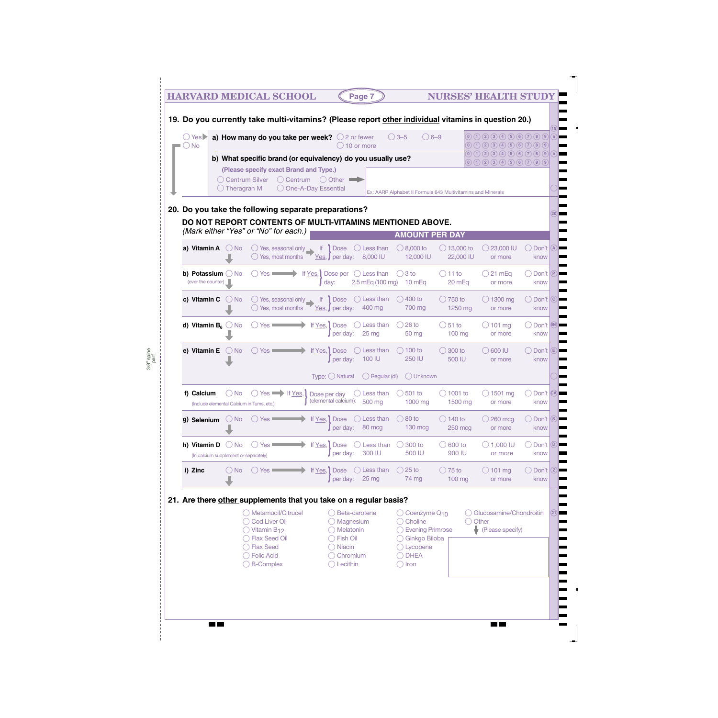| $\bigcirc$ Yes                                |                                                        |                                                                                                                                      | a) How many do you take per week? $\bigcirc$ 2 or fewer                                               |                       |                                                                                                                                            |          |                                          | $\bigcirc$ 3-5 |                                                                                                                                          | $\bigcirc$ 6-9   |                                   |                  | $(0)$ (1) (2) (3) (4) (5) (6) (7) (8) (9)                                                  |                                    |
|-----------------------------------------------|--------------------------------------------------------|--------------------------------------------------------------------------------------------------------------------------------------|-------------------------------------------------------------------------------------------------------|-----------------------|--------------------------------------------------------------------------------------------------------------------------------------------|----------|------------------------------------------|----------------|------------------------------------------------------------------------------------------------------------------------------------------|------------------|-----------------------------------|------------------|--------------------------------------------------------------------------------------------|------------------------------------|
| $\bigcirc$ No                                 |                                                        |                                                                                                                                      |                                                                                                       |                       |                                                                                                                                            |          | $\bigcirc$ 10 or more                    |                |                                                                                                                                          |                  |                                   |                  | $(0)$ (1) (2) (3) (4) (5) (6) (7) (8) (9)<br>$(0)$ (1) (2) (3) (4) (5) (6) (7) (8) (9) (b) |                                    |
|                                               |                                                        |                                                                                                                                      | b) What specific brand (or equivalency) do you usually use?<br>(Please specify exact Brand and Type.) |                       |                                                                                                                                            |          |                                          |                |                                                                                                                                          |                  |                                   |                  | $(0)$ (1) (2) (3) (4) (5) (6) (7) (8) (9)                                                  |                                    |
|                                               |                                                        | ◯ Centrum Silver                                                                                                                     | $\bigcirc$ Centrum                                                                                    |                       | $\bigcirc$ Other                                                                                                                           |          |                                          |                |                                                                                                                                          |                  |                                   |                  |                                                                                            |                                    |
|                                               | $\bigcirc$ Theragran M                                 |                                                                                                                                      |                                                                                                       | O One-A-Day Essential |                                                                                                                                            |          |                                          |                | Ex: AARP Alphabet II Formula 643 Multivitamins and Minerals                                                                              |                  |                                   |                  |                                                                                            |                                    |
|                                               |                                                        |                                                                                                                                      | 20. Do you take the following separate preparations?                                                  |                       |                                                                                                                                            |          |                                          |                |                                                                                                                                          |                  |                                   |                  |                                                                                            |                                    |
|                                               |                                                        |                                                                                                                                      | DO NOT REPORT CONTENTS OF MULTI-VITAMINS MENTIONED ABOVE.                                             |                       |                                                                                                                                            |          |                                          |                |                                                                                                                                          |                  |                                   |                  |                                                                                            |                                    |
|                                               |                                                        |                                                                                                                                      | (Mark either "Yes" or "No" for each.)                                                                 |                       |                                                                                                                                            |          |                                          |                | <b>AMOUNT PER DAY</b>                                                                                                                    |                  |                                   |                  |                                                                                            |                                    |
| a) Vitamin A                                  | () No                                                  |                                                                                                                                      | $\bigcirc$ Yes, seasonal only $\Box$<br>$\bigcirc$ Yes, most months                                   | f                     | <b>Dose</b><br>Yes, J per day:                                                                                                             |          | Less than<br>8,000 IU                    |                | $\bigcirc$ 8,000 to<br>12,000 IU                                                                                                         |                  | $\bigcirc$ 13,000 to<br>22,000 IU |                  | 23,000 IU<br>or more                                                                       | Don't $\boxed{A}$<br>know          |
| b) Potassium $\bigcirc$<br>(over the counter) | <b>No</b>                                              | $Yes =$                                                                                                                              |                                                                                                       | If Yes, Dose per      | day:                                                                                                                                       |          | $\bigcirc$ Less than<br>2.5 mEq (100 mg) |                | $3$ to<br>$10 \text{ mEq}$                                                                                                               | $\bigcirc$ 11 to | 20 mEq                            |                  | ) 21 mEq<br>or more                                                                        | Don't $\sqrt{P}$<br>know           |
| c) Vitamin C                                  | <b>No</b>                                              |                                                                                                                                      | $\bigcirc$ Yes, seasonal only $\Box$<br>$\bigcirc$ Yes, most months                                   | f                     | Dose<br>$Yes,$ per day:                                                                                                                    |          | Less than<br>400 mg                      |                | 400 to<br>700 mg                                                                                                                         |                  | $\bigcirc$ 750 to<br>1250 mg      |                  | 1300 mg<br>or more                                                                         | Don't $ C $<br>know                |
|                                               | d) Vitamin $B_6$ No                                    | Yes $\blacksquare$                                                                                                                   |                                                                                                       |                       | If Yes, Dose<br>per day:                                                                                                                   |          | Less than<br>25 <sub>mg</sub>            |                | 26 to<br>50 mg                                                                                                                           | $\bigcirc$ 51 to | $100$ mg                          |                  | $()$ 101 mg<br>or more                                                                     | Don't B <sub>6</sub><br>know       |
| e) Vitamin E                                  | $\bigcirc$ No                                          | Yes $\blacksquare$                                                                                                                   |                                                                                                       |                       | If Yes, Dose<br>per day:                                                                                                                   |          | Less than<br>100 IU                      |                | 100 to<br>250 IU                                                                                                                         |                  | 300 to<br>500 IU                  |                  | $\big)$ 600 IU<br>or more                                                                  | Don't $(E)$<br>know                |
|                                               |                                                        |                                                                                                                                      |                                                                                                       |                       | $Type:$ Natural                                                                                                                            |          | ◯ Regular (dl)                           |                | ◯ Unknown                                                                                                                                |                  |                                   |                  |                                                                                            |                                    |
| f) Calcium                                    | <b>No</b>                                              | (Include elemental Calcium in Tums, etc.)                                                                                            | $Yes$ If $Yes,$ If                                                                                    |                       | Dose per day<br>(elemental calcium):                                                                                                       |          | Less than<br>500 mg                      |                | 501 to<br>1000 mg                                                                                                                        |                  | $1001$ to<br>1500 mg              |                  | $1501$ mg<br>or more                                                                       | Don't CA<br>know                   |
| g) Selenium                                   | $\bigcirc$ No                                          | $Yes =$                                                                                                                              |                                                                                                       |                       | If Yes, Dose<br>per day:                                                                                                                   |          | $\bigcirc$ Less than<br>80 mcg           |                | $\bigcirc$ 80 to<br>130 mcg                                                                                                              |                  | $\bigcirc$ 140 to<br>250 mcg      |                  | $\bigcirc$ 260 mcg<br>or more                                                              | Don't $\boxed{\mathbb{S}}$<br>know |
| h) Vitamin D                                  | $\bigcirc$ No<br>(In calcium supplement or separately) | $Yes =$                                                                                                                              |                                                                                                       |                       | If Yes, Dose<br>per day:                                                                                                                   |          | Less than<br>300 IU                      |                | $\bigcirc$ 300 to<br>500 IU                                                                                                              |                  | $\bigcirc$ 600 to<br>900 IU       |                  | $\bigcirc$ 1,000 IU<br>or more                                                             | Don't $\circ$<br>know              |
| i) Zinc                                       | $\bigcirc$ No                                          | $Yes =$                                                                                                                              |                                                                                                       |                       | If Yes, Dose<br>per day:                                                                                                                   |          | Less than<br>25 <sub>mg</sub>            |                | $\bigcirc$ 25 to<br>74 mg                                                                                                                |                  | $\bigcirc$ 75 to<br>100 mg        |                  | $\bigcirc$ 101 mg<br>or more                                                               | Don't $\mathbb{Z}$<br>know         |
|                                               |                                                        |                                                                                                                                      | 21. Are there other supplements that you take on a regular basis?                                     |                       |                                                                                                                                            |          |                                          |                |                                                                                                                                          |                  |                                   |                  |                                                                                            |                                    |
|                                               |                                                        | ◯ Cod Liver Oil<br>$\bigcirc$ Vitamin B <sub>12</sub><br>◯ Flax Seed Oil<br>◯ Flax Seed<br>$\bigcirc$ Folic Acid<br><b>B-Complex</b> | ◯ Metamucil/Citrucel                                                                                  |                       | $\bigcirc$ Magnesium<br>$\bigcirc$ Melatonin<br>Fish Oil<br>$\left( \begin{array}{c} \end{array} \right)$<br>$\bigcirc$ Niacin<br>Lecithin | Chromium | Beta-carotene                            |                | $\bigcirc$ Coenzyme Q <sub>10</sub><br>Choline<br><b>Evening Primrose</b><br>Ginkgo Biloba<br>Lycopene<br><b>DHEA</b><br>$\bigcirc$ Iron |                  |                                   | $\bigcirc$ Other | Glucosamine/Chondroitin<br>(Please specify)                                                |                                    |

3/8" spine perf

 $\overline{\phantom{a}}$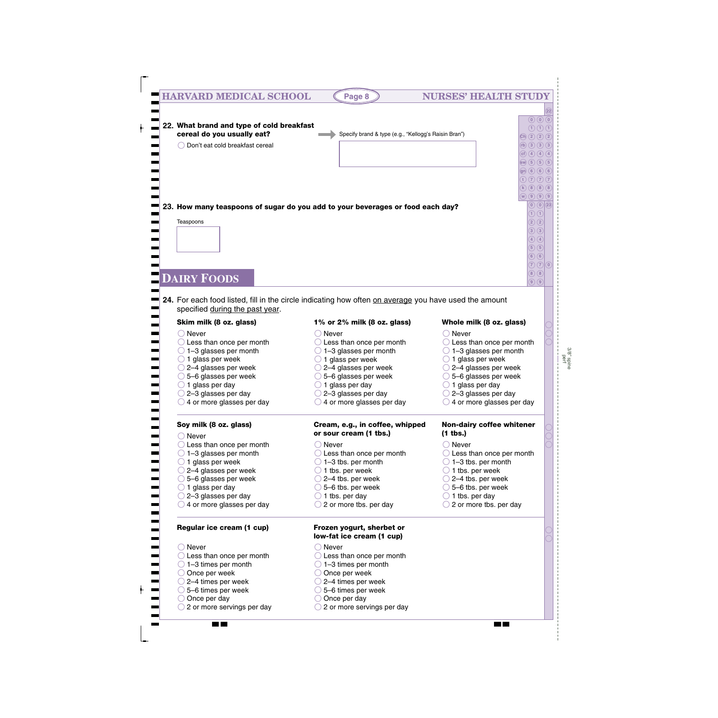# **HARVARD MEDICAL SCHOOL (Page 8) NURSES' HEALTH STUDY**

**What brand and type of cold breakfast 22.**

**cereal do you usually eat?** ◯ Don't eat cold breakfast cereal

**23 0 0**

3/8" spine perf

**22**

Specify brand & type (e.g., "Kellogg's Raisin Bran")

# **How many teaspoons of sugar do you add to your beverages or food each day? 23.**

# Teaspoons

# **DAIRY FOODS**

# **24.** For each food listed, fill in the circle indicating how often on average you have used the amount specified during the past year.

# **Skim milk (8 oz. glass)**

- ◯ Never
- ◯ Less than once per month
- $\bigcirc$  1–3 glasses per month
- $\bigcirc$  1 glass per week
- $\bigcirc$  2–4 glasses per week
- 5–6 glasses per week
- $\bigcirc$  1 glass per day
- $\bigcirc$  2–3 glasses per day
- $\bigcirc$  4 or more glasses per day

# **Soy milk (8 oz. glass)**

- 
- ◯ Less than once per month
- $\bigcirc$  1–3 glasses per month
- $\bigcirc$  1 glass per week
- $\bigcirc$  2–4 glasses per week
- $\bigcirc$  5–6 glasses per week
- $\bigcirc$  1 glass per day
- $\bigcirc$  2–3 glasses per day
- $\bigcirc$  4 or more glasses per day

### **Regular ice cream (1 cup)**

- ◯ Never
- ◯ Less than once per month
- $\bigcirc$  1–3 times per month
- O Once per week
- $\bigcirc$  2–4 times per week
- 5–6 times per week
- $\bigcirc$  Once per day
- $\bigcirc$  2 or more servings per day

# **1% or 2% milk (8 oz. glass) Whole milk (8 oz. glass)**

- ◯ Never
- ◯ Less than once per month
- $\bigcirc$  1–3 glasses per month
- $\bigcirc$  1 glass per week
- $\bigcirc$  2–4 glasses per week
- 5–6 glasses per week
- $\bigcirc$  1 glass per day
- $\bigcirc$  2–3 glasses per day
- $\bigcirc$  4 or more glasses per day

# **Cream, e.g., in coffee, whipped or sour cream (1 tbs.) (1 tbs.)** Never

- ◯ Never
- $\bigcirc$  Less than once per month
- $\bigcirc$  1–3 tbs. per month
- $\bigcirc$  1 tbs. per week
- $\bigcirc$  2–4 tbs. per week
- $\bigcirc$  5–6 tbs. per week
- $\bigcirc$  1 tbs. per day
- $\bigcirc$  2 or more tbs. per day

### **Frozen yogurt, sherbet or low-fat ice cream (1 cup)**

- ◯ Never
- ◯ Less than once per month
- $\bigcirc$  1–3 times per month
- O Once per week
- $\bigcirc$  2–4 times per week
- 5–6 times per week
- $\bigcirc$  Once per day
- $\bigcirc$  2 or more servings per day

- ◯ Never
- ◯ Less than once per month
- $\bigcirc$  1–3 glasses per month
- $\bigcirc$  1 glass per week
- $\bigcirc$  2–4 glasses per week
- 5–6 glasses per week
- $\bigcirc$  1 glass per day
- $\bigcirc$  2–3 glasses per day
- $\bigcirc$  4 or more glasses per day

# **Non-dairy coffee whitener**

- ◯ Never
- $\bigcirc$  Less than once per month
- $\bigcirc$  1–3 tbs. per month
- $\bigcirc$  1 tbs. per week
- $\bigcirc$  2–4 tbs. per week
- 5–6 tbs. per week
- $\bigcirc$  1 tbs. per day
- $\bigcirc$  2 or more tbs. per day

**The Contract State**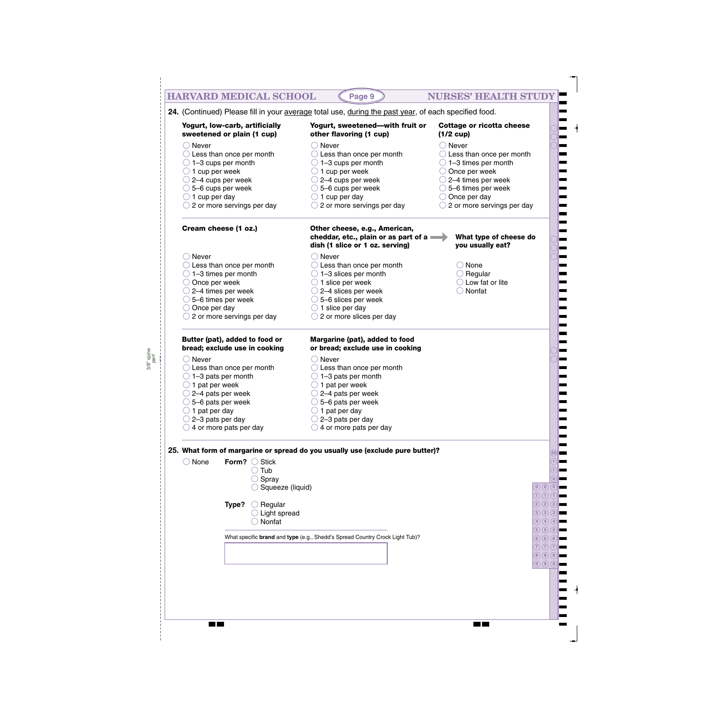| sweetened or plain (1 cup)<br>other flavoring (1 cup)<br>$(1/2 \text{ cup})$<br>$\bigcirc$ Never<br>$\bigcirc$ Never<br>Never<br>$\bigcirc$ Less than once per month<br>$\bigcirc$ Less than once per month<br>$\bigcirc$ Less than once per month<br>$\bigcirc$ 1-3 cups per month<br>$\bigcirc$ 1-3 times per month<br>$\bigcirc$ 1-3 cups per month<br>$\bigcirc$ 1 cup per week<br>$\bigcirc$ 1 cup per week<br>$\bigcirc$ Once per week<br>$\bigcirc$ 2–4 cups per week<br>$\bigcirc$ 2–4 cups per week<br>$\bigcirc$ 2–4 times per week<br>$\bigcirc$ 5–6 cups per week<br>$\bigcirc$ 5–6 cups per week<br>$\bigcirc$ 5–6 times per week<br>$\bigcirc$ 1 cup per day<br>$\bigcirc$ 1 cup per day<br>$\bigcirc$ Once per day<br>$\bigcirc$ 2 or more servings per day<br>$\bigcirc$ 2 or more servings per day<br>$\bigcirc$ 2 or more servings per day<br>Cream cheese (1 oz.)<br>Other cheese, e.g., American,<br>cheddar, etc., plain or as part of a<br>What type of cheese do<br>dish (1 slice or 1 oz. serving)<br>you usually eat?<br>Never<br>$\bigcirc$ Never<br>$\bigcirc$ None<br>$\bigcirc$ Less than once per month<br>$\bigcirc$ Less than once per month<br>$\bigcirc$ 1-3 slices per month<br>$\bigcirc$ Regular<br>$\bigcirc$ 1–3 times per month<br>$\bigcirc$ Low fat or lite<br>$\bigcirc$ Once per week<br>$\bigcirc$ 1 slice per week<br>$\bigcirc$ 2–4 times per week<br>$\bigcirc$ 2–4 slices per week<br>Nonfat<br>$\left( \begin{array}{c} \end{array} \right)$<br>$\bigcirc$ 5–6 times per week<br>$\bigcirc$ 5–6 slices per week<br>$\bigcirc$ Once per day<br>$\bigcirc$ 1 slice per day<br>$\bigcirc$ 2 or more slices per day<br>2 or more servings per day<br>Butter (pat), added to food or<br>Margarine (pat), added to food<br>bread; exclude use in cooking<br>or bread; exclude use in cooking<br>Never<br>○ Never<br>$\bigcirc$ Less than once per month<br>$\bigcirc$ Less than once per month<br>$\bigcirc$ 1–3 pats per month<br>$\bigcirc$ 1–3 pats per month<br>$\bigcirc$ 1 pat per week<br>$\bigcirc$ 1 pat per week<br>$\bigcirc$ 2–4 pats per week<br>$\bigcirc$ 2–4 pats per week<br>5-6 pats per week<br>5-6 pats per week<br>$\bigcirc$ 1 pat per day<br>$\bigcirc$ 1 pat per day<br>$\bigcirc$ 2-3 pats per day<br>2-3 pats per day<br>4 or more pats per day<br>4 or more pats per day<br>25. What form of margarine or spread do you usually use (exclude pure butter)?<br>None<br>Form?<br>$\bigcirc$ Stick<br>$\supset$ Tub<br>Spray<br>Squeeze (liquid)<br>$\left( 0\right)$ $\left( 0\right)$<br>$\bigcirc$ Regular<br>Type?<br>Light spread<br>Nonfat<br>What specific brand and type (e.g., Shedd's Spread Country Crock Light Tub)?<br>(7)(7)(7)<br>(8)(8)(8)<br>$\left( 9\right) \left( 9\right) \left( 9\right)$ | Yogurt, low-carb, artificially | Yogurt, sweetened-with fruit or | <b>Cottage or ricotta cheese</b> |
|-------------------------------------------------------------------------------------------------------------------------------------------------------------------------------------------------------------------------------------------------------------------------------------------------------------------------------------------------------------------------------------------------------------------------------------------------------------------------------------------------------------------------------------------------------------------------------------------------------------------------------------------------------------------------------------------------------------------------------------------------------------------------------------------------------------------------------------------------------------------------------------------------------------------------------------------------------------------------------------------------------------------------------------------------------------------------------------------------------------------------------------------------------------------------------------------------------------------------------------------------------------------------------------------------------------------------------------------------------------------------------------------------------------------------------------------------------------------------------------------------------------------------------------------------------------------------------------------------------------------------------------------------------------------------------------------------------------------------------------------------------------------------------------------------------------------------------------------------------------------------------------------------------------------------------------------------------------------------------------------------------------------------------------------------------------------------------------------------------------------------------------------------------------------------------------------------------------------------------------------------------------------------------------------------------------------------------------------------------------------------------------------------------------------------------------------------------------------------------------------------------------------------------------------------------------------------------------------------------------------------------------------------------------------------------------------------------------------------------------------------------------------------------------|--------------------------------|---------------------------------|----------------------------------|
|                                                                                                                                                                                                                                                                                                                                                                                                                                                                                                                                                                                                                                                                                                                                                                                                                                                                                                                                                                                                                                                                                                                                                                                                                                                                                                                                                                                                                                                                                                                                                                                                                                                                                                                                                                                                                                                                                                                                                                                                                                                                                                                                                                                                                                                                                                                                                                                                                                                                                                                                                                                                                                                                                                                                                                                     |                                |                                 |                                  |
|                                                                                                                                                                                                                                                                                                                                                                                                                                                                                                                                                                                                                                                                                                                                                                                                                                                                                                                                                                                                                                                                                                                                                                                                                                                                                                                                                                                                                                                                                                                                                                                                                                                                                                                                                                                                                                                                                                                                                                                                                                                                                                                                                                                                                                                                                                                                                                                                                                                                                                                                                                                                                                                                                                                                                                                     |                                |                                 |                                  |
|                                                                                                                                                                                                                                                                                                                                                                                                                                                                                                                                                                                                                                                                                                                                                                                                                                                                                                                                                                                                                                                                                                                                                                                                                                                                                                                                                                                                                                                                                                                                                                                                                                                                                                                                                                                                                                                                                                                                                                                                                                                                                                                                                                                                                                                                                                                                                                                                                                                                                                                                                                                                                                                                                                                                                                                     |                                |                                 |                                  |
|                                                                                                                                                                                                                                                                                                                                                                                                                                                                                                                                                                                                                                                                                                                                                                                                                                                                                                                                                                                                                                                                                                                                                                                                                                                                                                                                                                                                                                                                                                                                                                                                                                                                                                                                                                                                                                                                                                                                                                                                                                                                                                                                                                                                                                                                                                                                                                                                                                                                                                                                                                                                                                                                                                                                                                                     |                                |                                 |                                  |
|                                                                                                                                                                                                                                                                                                                                                                                                                                                                                                                                                                                                                                                                                                                                                                                                                                                                                                                                                                                                                                                                                                                                                                                                                                                                                                                                                                                                                                                                                                                                                                                                                                                                                                                                                                                                                                                                                                                                                                                                                                                                                                                                                                                                                                                                                                                                                                                                                                                                                                                                                                                                                                                                                                                                                                                     |                                |                                 |                                  |
|                                                                                                                                                                                                                                                                                                                                                                                                                                                                                                                                                                                                                                                                                                                                                                                                                                                                                                                                                                                                                                                                                                                                                                                                                                                                                                                                                                                                                                                                                                                                                                                                                                                                                                                                                                                                                                                                                                                                                                                                                                                                                                                                                                                                                                                                                                                                                                                                                                                                                                                                                                                                                                                                                                                                                                                     |                                |                                 |                                  |
|                                                                                                                                                                                                                                                                                                                                                                                                                                                                                                                                                                                                                                                                                                                                                                                                                                                                                                                                                                                                                                                                                                                                                                                                                                                                                                                                                                                                                                                                                                                                                                                                                                                                                                                                                                                                                                                                                                                                                                                                                                                                                                                                                                                                                                                                                                                                                                                                                                                                                                                                                                                                                                                                                                                                                                                     |                                |                                 |                                  |
|                                                                                                                                                                                                                                                                                                                                                                                                                                                                                                                                                                                                                                                                                                                                                                                                                                                                                                                                                                                                                                                                                                                                                                                                                                                                                                                                                                                                                                                                                                                                                                                                                                                                                                                                                                                                                                                                                                                                                                                                                                                                                                                                                                                                                                                                                                                                                                                                                                                                                                                                                                                                                                                                                                                                                                                     |                                |                                 |                                  |
|                                                                                                                                                                                                                                                                                                                                                                                                                                                                                                                                                                                                                                                                                                                                                                                                                                                                                                                                                                                                                                                                                                                                                                                                                                                                                                                                                                                                                                                                                                                                                                                                                                                                                                                                                                                                                                                                                                                                                                                                                                                                                                                                                                                                                                                                                                                                                                                                                                                                                                                                                                                                                                                                                                                                                                                     |                                |                                 |                                  |
|                                                                                                                                                                                                                                                                                                                                                                                                                                                                                                                                                                                                                                                                                                                                                                                                                                                                                                                                                                                                                                                                                                                                                                                                                                                                                                                                                                                                                                                                                                                                                                                                                                                                                                                                                                                                                                                                                                                                                                                                                                                                                                                                                                                                                                                                                                                                                                                                                                                                                                                                                                                                                                                                                                                                                                                     |                                |                                 |                                  |
|                                                                                                                                                                                                                                                                                                                                                                                                                                                                                                                                                                                                                                                                                                                                                                                                                                                                                                                                                                                                                                                                                                                                                                                                                                                                                                                                                                                                                                                                                                                                                                                                                                                                                                                                                                                                                                                                                                                                                                                                                                                                                                                                                                                                                                                                                                                                                                                                                                                                                                                                                                                                                                                                                                                                                                                     |                                |                                 |                                  |
|                                                                                                                                                                                                                                                                                                                                                                                                                                                                                                                                                                                                                                                                                                                                                                                                                                                                                                                                                                                                                                                                                                                                                                                                                                                                                                                                                                                                                                                                                                                                                                                                                                                                                                                                                                                                                                                                                                                                                                                                                                                                                                                                                                                                                                                                                                                                                                                                                                                                                                                                                                                                                                                                                                                                                                                     |                                |                                 |                                  |
|                                                                                                                                                                                                                                                                                                                                                                                                                                                                                                                                                                                                                                                                                                                                                                                                                                                                                                                                                                                                                                                                                                                                                                                                                                                                                                                                                                                                                                                                                                                                                                                                                                                                                                                                                                                                                                                                                                                                                                                                                                                                                                                                                                                                                                                                                                                                                                                                                                                                                                                                                                                                                                                                                                                                                                                     |                                |                                 |                                  |
|                                                                                                                                                                                                                                                                                                                                                                                                                                                                                                                                                                                                                                                                                                                                                                                                                                                                                                                                                                                                                                                                                                                                                                                                                                                                                                                                                                                                                                                                                                                                                                                                                                                                                                                                                                                                                                                                                                                                                                                                                                                                                                                                                                                                                                                                                                                                                                                                                                                                                                                                                                                                                                                                                                                                                                                     |                                |                                 |                                  |
|                                                                                                                                                                                                                                                                                                                                                                                                                                                                                                                                                                                                                                                                                                                                                                                                                                                                                                                                                                                                                                                                                                                                                                                                                                                                                                                                                                                                                                                                                                                                                                                                                                                                                                                                                                                                                                                                                                                                                                                                                                                                                                                                                                                                                                                                                                                                                                                                                                                                                                                                                                                                                                                                                                                                                                                     |                                |                                 |                                  |
|                                                                                                                                                                                                                                                                                                                                                                                                                                                                                                                                                                                                                                                                                                                                                                                                                                                                                                                                                                                                                                                                                                                                                                                                                                                                                                                                                                                                                                                                                                                                                                                                                                                                                                                                                                                                                                                                                                                                                                                                                                                                                                                                                                                                                                                                                                                                                                                                                                                                                                                                                                                                                                                                                                                                                                                     |                                |                                 |                                  |
|                                                                                                                                                                                                                                                                                                                                                                                                                                                                                                                                                                                                                                                                                                                                                                                                                                                                                                                                                                                                                                                                                                                                                                                                                                                                                                                                                                                                                                                                                                                                                                                                                                                                                                                                                                                                                                                                                                                                                                                                                                                                                                                                                                                                                                                                                                                                                                                                                                                                                                                                                                                                                                                                                                                                                                                     |                                |                                 |                                  |
|                                                                                                                                                                                                                                                                                                                                                                                                                                                                                                                                                                                                                                                                                                                                                                                                                                                                                                                                                                                                                                                                                                                                                                                                                                                                                                                                                                                                                                                                                                                                                                                                                                                                                                                                                                                                                                                                                                                                                                                                                                                                                                                                                                                                                                                                                                                                                                                                                                                                                                                                                                                                                                                                                                                                                                                     |                                |                                 |                                  |
|                                                                                                                                                                                                                                                                                                                                                                                                                                                                                                                                                                                                                                                                                                                                                                                                                                                                                                                                                                                                                                                                                                                                                                                                                                                                                                                                                                                                                                                                                                                                                                                                                                                                                                                                                                                                                                                                                                                                                                                                                                                                                                                                                                                                                                                                                                                                                                                                                                                                                                                                                                                                                                                                                                                                                                                     |                                |                                 |                                  |
|                                                                                                                                                                                                                                                                                                                                                                                                                                                                                                                                                                                                                                                                                                                                                                                                                                                                                                                                                                                                                                                                                                                                                                                                                                                                                                                                                                                                                                                                                                                                                                                                                                                                                                                                                                                                                                                                                                                                                                                                                                                                                                                                                                                                                                                                                                                                                                                                                                                                                                                                                                                                                                                                                                                                                                                     |                                |                                 |                                  |
|                                                                                                                                                                                                                                                                                                                                                                                                                                                                                                                                                                                                                                                                                                                                                                                                                                                                                                                                                                                                                                                                                                                                                                                                                                                                                                                                                                                                                                                                                                                                                                                                                                                                                                                                                                                                                                                                                                                                                                                                                                                                                                                                                                                                                                                                                                                                                                                                                                                                                                                                                                                                                                                                                                                                                                                     |                                |                                 |                                  |
|                                                                                                                                                                                                                                                                                                                                                                                                                                                                                                                                                                                                                                                                                                                                                                                                                                                                                                                                                                                                                                                                                                                                                                                                                                                                                                                                                                                                                                                                                                                                                                                                                                                                                                                                                                                                                                                                                                                                                                                                                                                                                                                                                                                                                                                                                                                                                                                                                                                                                                                                                                                                                                                                                                                                                                                     |                                |                                 |                                  |
|                                                                                                                                                                                                                                                                                                                                                                                                                                                                                                                                                                                                                                                                                                                                                                                                                                                                                                                                                                                                                                                                                                                                                                                                                                                                                                                                                                                                                                                                                                                                                                                                                                                                                                                                                                                                                                                                                                                                                                                                                                                                                                                                                                                                                                                                                                                                                                                                                                                                                                                                                                                                                                                                                                                                                                                     |                                |                                 |                                  |
|                                                                                                                                                                                                                                                                                                                                                                                                                                                                                                                                                                                                                                                                                                                                                                                                                                                                                                                                                                                                                                                                                                                                                                                                                                                                                                                                                                                                                                                                                                                                                                                                                                                                                                                                                                                                                                                                                                                                                                                                                                                                                                                                                                                                                                                                                                                                                                                                                                                                                                                                                                                                                                                                                                                                                                                     |                                |                                 |                                  |
|                                                                                                                                                                                                                                                                                                                                                                                                                                                                                                                                                                                                                                                                                                                                                                                                                                                                                                                                                                                                                                                                                                                                                                                                                                                                                                                                                                                                                                                                                                                                                                                                                                                                                                                                                                                                                                                                                                                                                                                                                                                                                                                                                                                                                                                                                                                                                                                                                                                                                                                                                                                                                                                                                                                                                                                     |                                |                                 |                                  |
|                                                                                                                                                                                                                                                                                                                                                                                                                                                                                                                                                                                                                                                                                                                                                                                                                                                                                                                                                                                                                                                                                                                                                                                                                                                                                                                                                                                                                                                                                                                                                                                                                                                                                                                                                                                                                                                                                                                                                                                                                                                                                                                                                                                                                                                                                                                                                                                                                                                                                                                                                                                                                                                                                                                                                                                     |                                |                                 |                                  |
|                                                                                                                                                                                                                                                                                                                                                                                                                                                                                                                                                                                                                                                                                                                                                                                                                                                                                                                                                                                                                                                                                                                                                                                                                                                                                                                                                                                                                                                                                                                                                                                                                                                                                                                                                                                                                                                                                                                                                                                                                                                                                                                                                                                                                                                                                                                                                                                                                                                                                                                                                                                                                                                                                                                                                                                     |                                |                                 |                                  |
|                                                                                                                                                                                                                                                                                                                                                                                                                                                                                                                                                                                                                                                                                                                                                                                                                                                                                                                                                                                                                                                                                                                                                                                                                                                                                                                                                                                                                                                                                                                                                                                                                                                                                                                                                                                                                                                                                                                                                                                                                                                                                                                                                                                                                                                                                                                                                                                                                                                                                                                                                                                                                                                                                                                                                                                     |                                |                                 |                                  |
|                                                                                                                                                                                                                                                                                                                                                                                                                                                                                                                                                                                                                                                                                                                                                                                                                                                                                                                                                                                                                                                                                                                                                                                                                                                                                                                                                                                                                                                                                                                                                                                                                                                                                                                                                                                                                                                                                                                                                                                                                                                                                                                                                                                                                                                                                                                                                                                                                                                                                                                                                                                                                                                                                                                                                                                     |                                |                                 |                                  |
|                                                                                                                                                                                                                                                                                                                                                                                                                                                                                                                                                                                                                                                                                                                                                                                                                                                                                                                                                                                                                                                                                                                                                                                                                                                                                                                                                                                                                                                                                                                                                                                                                                                                                                                                                                                                                                                                                                                                                                                                                                                                                                                                                                                                                                                                                                                                                                                                                                                                                                                                                                                                                                                                                                                                                                                     |                                |                                 |                                  |
|                                                                                                                                                                                                                                                                                                                                                                                                                                                                                                                                                                                                                                                                                                                                                                                                                                                                                                                                                                                                                                                                                                                                                                                                                                                                                                                                                                                                                                                                                                                                                                                                                                                                                                                                                                                                                                                                                                                                                                                                                                                                                                                                                                                                                                                                                                                                                                                                                                                                                                                                                                                                                                                                                                                                                                                     |                                |                                 |                                  |
|                                                                                                                                                                                                                                                                                                                                                                                                                                                                                                                                                                                                                                                                                                                                                                                                                                                                                                                                                                                                                                                                                                                                                                                                                                                                                                                                                                                                                                                                                                                                                                                                                                                                                                                                                                                                                                                                                                                                                                                                                                                                                                                                                                                                                                                                                                                                                                                                                                                                                                                                                                                                                                                                                                                                                                                     |                                |                                 |                                  |
|                                                                                                                                                                                                                                                                                                                                                                                                                                                                                                                                                                                                                                                                                                                                                                                                                                                                                                                                                                                                                                                                                                                                                                                                                                                                                                                                                                                                                                                                                                                                                                                                                                                                                                                                                                                                                                                                                                                                                                                                                                                                                                                                                                                                                                                                                                                                                                                                                                                                                                                                                                                                                                                                                                                                                                                     |                                |                                 |                                  |
|                                                                                                                                                                                                                                                                                                                                                                                                                                                                                                                                                                                                                                                                                                                                                                                                                                                                                                                                                                                                                                                                                                                                                                                                                                                                                                                                                                                                                                                                                                                                                                                                                                                                                                                                                                                                                                                                                                                                                                                                                                                                                                                                                                                                                                                                                                                                                                                                                                                                                                                                                                                                                                                                                                                                                                                     |                                |                                 |                                  |
|                                                                                                                                                                                                                                                                                                                                                                                                                                                                                                                                                                                                                                                                                                                                                                                                                                                                                                                                                                                                                                                                                                                                                                                                                                                                                                                                                                                                                                                                                                                                                                                                                                                                                                                                                                                                                                                                                                                                                                                                                                                                                                                                                                                                                                                                                                                                                                                                                                                                                                                                                                                                                                                                                                                                                                                     |                                |                                 | (1)(1)                           |
|                                                                                                                                                                                                                                                                                                                                                                                                                                                                                                                                                                                                                                                                                                                                                                                                                                                                                                                                                                                                                                                                                                                                                                                                                                                                                                                                                                                                                                                                                                                                                                                                                                                                                                                                                                                                                                                                                                                                                                                                                                                                                                                                                                                                                                                                                                                                                                                                                                                                                                                                                                                                                                                                                                                                                                                     |                                |                                 | (2)                              |
|                                                                                                                                                                                                                                                                                                                                                                                                                                                                                                                                                                                                                                                                                                                                                                                                                                                                                                                                                                                                                                                                                                                                                                                                                                                                                                                                                                                                                                                                                                                                                                                                                                                                                                                                                                                                                                                                                                                                                                                                                                                                                                                                                                                                                                                                                                                                                                                                                                                                                                                                                                                                                                                                                                                                                                                     |                                |                                 | (3)(3)(3)                        |
|                                                                                                                                                                                                                                                                                                                                                                                                                                                                                                                                                                                                                                                                                                                                                                                                                                                                                                                                                                                                                                                                                                                                                                                                                                                                                                                                                                                                                                                                                                                                                                                                                                                                                                                                                                                                                                                                                                                                                                                                                                                                                                                                                                                                                                                                                                                                                                                                                                                                                                                                                                                                                                                                                                                                                                                     |                                |                                 | (4)                              |
|                                                                                                                                                                                                                                                                                                                                                                                                                                                                                                                                                                                                                                                                                                                                                                                                                                                                                                                                                                                                                                                                                                                                                                                                                                                                                                                                                                                                                                                                                                                                                                                                                                                                                                                                                                                                                                                                                                                                                                                                                                                                                                                                                                                                                                                                                                                                                                                                                                                                                                                                                                                                                                                                                                                                                                                     |                                |                                 | (5)(5)(5)                        |
|                                                                                                                                                                                                                                                                                                                                                                                                                                                                                                                                                                                                                                                                                                                                                                                                                                                                                                                                                                                                                                                                                                                                                                                                                                                                                                                                                                                                                                                                                                                                                                                                                                                                                                                                                                                                                                                                                                                                                                                                                                                                                                                                                                                                                                                                                                                                                                                                                                                                                                                                                                                                                                                                                                                                                                                     |                                |                                 | (6)(6)(6)                        |
|                                                                                                                                                                                                                                                                                                                                                                                                                                                                                                                                                                                                                                                                                                                                                                                                                                                                                                                                                                                                                                                                                                                                                                                                                                                                                                                                                                                                                                                                                                                                                                                                                                                                                                                                                                                                                                                                                                                                                                                                                                                                                                                                                                                                                                                                                                                                                                                                                                                                                                                                                                                                                                                                                                                                                                                     |                                |                                 |                                  |
|                                                                                                                                                                                                                                                                                                                                                                                                                                                                                                                                                                                                                                                                                                                                                                                                                                                                                                                                                                                                                                                                                                                                                                                                                                                                                                                                                                                                                                                                                                                                                                                                                                                                                                                                                                                                                                                                                                                                                                                                                                                                                                                                                                                                                                                                                                                                                                                                                                                                                                                                                                                                                                                                                                                                                                                     |                                |                                 |                                  |
|                                                                                                                                                                                                                                                                                                                                                                                                                                                                                                                                                                                                                                                                                                                                                                                                                                                                                                                                                                                                                                                                                                                                                                                                                                                                                                                                                                                                                                                                                                                                                                                                                                                                                                                                                                                                                                                                                                                                                                                                                                                                                                                                                                                                                                                                                                                                                                                                                                                                                                                                                                                                                                                                                                                                                                                     |                                |                                 |                                  |
|                                                                                                                                                                                                                                                                                                                                                                                                                                                                                                                                                                                                                                                                                                                                                                                                                                                                                                                                                                                                                                                                                                                                                                                                                                                                                                                                                                                                                                                                                                                                                                                                                                                                                                                                                                                                                                                                                                                                                                                                                                                                                                                                                                                                                                                                                                                                                                                                                                                                                                                                                                                                                                                                                                                                                                                     |                                |                                 |                                  |
|                                                                                                                                                                                                                                                                                                                                                                                                                                                                                                                                                                                                                                                                                                                                                                                                                                                                                                                                                                                                                                                                                                                                                                                                                                                                                                                                                                                                                                                                                                                                                                                                                                                                                                                                                                                                                                                                                                                                                                                                                                                                                                                                                                                                                                                                                                                                                                                                                                                                                                                                                                                                                                                                                                                                                                                     |                                |                                 |                                  |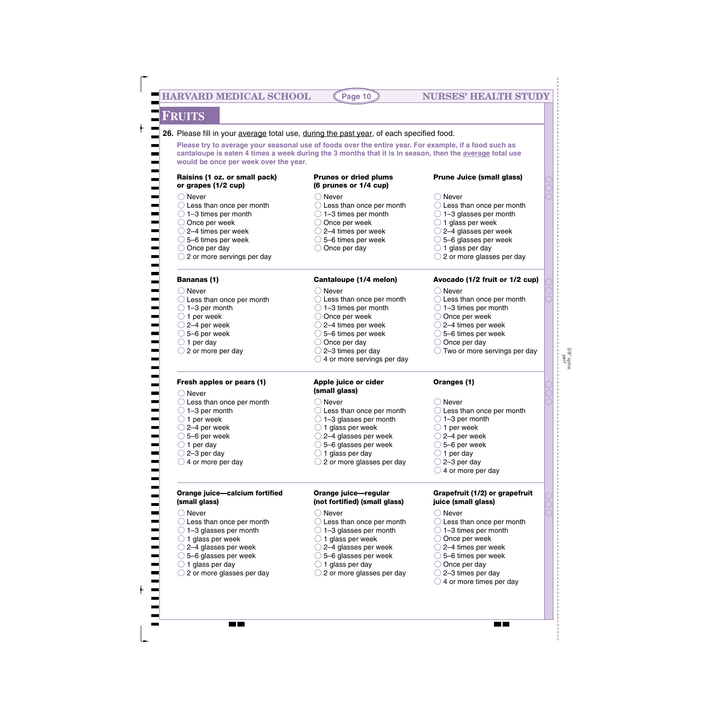# **FRUITS**

◯ Never

**Bananas (1)** ◯ Never

 $\bigcirc$  1–3 per month  $\bigcirc$  1 per week  $\bigcirc$  2–4 per week  $\bigcirc$  5–6 per week  $\bigcirc$  1 per day

 $\bigcirc$  2 or more per day

# 26. Please fill in your average total use, during the past year, of each specified food.

**Please try to average your seasonal use of foods over the entire year. For example, if a food such as cantaloupe is eaten 4 times a week during the 3 months that it is in season, then the average total use would be once per week over the year.**

## **Raisins (1 oz. or small pack) or grapes (1/2 cup)**

Less than once per month  $\bigcirc$  1–3 times per month O Once per week  $\bigcirc$  2–4 times per week 5–6 times per week  $\bigcirc$  Once per day

 $\bigcirc$  2 or more servings per day

◯ Less than once per month

# **Prunes or dried plums (6 prunes or 1/4 cup)**

 $\bigcirc$  1–3 times per month O Once per week  $\bigcirc$  2–4 times per week 5–6 times per week  $\bigcirc$  Once per day

◯ Less than once per month  $\bigcirc$  1–3 times per month O Once per week  $\bigcirc$  2–4 times per week 5–6 times per week  $\bigcirc$  Once per day  $\bigcirc$  2–3 times per day

**Cantaloupe (1/4 melon)**

 $\bigcirc$  4 or more servings per day

◯ Never

◯ Never

◯ Never

**(small glass)**

# **Prune Juice (small glass)**

- $\bigcirc$  Less than once per month ◯ Never
	- ◯ Less than once per month  $\bigcirc$  1–3 glasses per month  $\bigcirc$  1 glass per week  $\bigcirc$  2–4 glasses per week
		- 5–6 glasses per week
		- $\bigcirc$  1 glass per day
		- $\bigcirc$  2 or more glasses per day

# **Avocado (1/2 fruit or 1/2 cup)**

- ◯ Never
- ◯ Less than once per month
- $\bigcirc$  1–3 times per month
- O Once per week
- 2–4 times per week
- 5–6 times per week
- O Once per day
- $\bigcirc$  Two or more servings per day

3/8" spine perf

# **Fresh apples or pears (1)**

- ◯ Never
- ◯ Less than once per month
- $\bigcirc$  1–3 per month
- $\bigcirc$  1 per week
- $\bigcirc$  2–4 per week
- $\bigcirc$  5–6 per week
- $\bigcirc$  1 per day
- $\bigcirc$  2–3 per day
- $\bigcirc$  4 or more per day

# **Orange juice—calcium fortified (small glass)**

- ◯ Never
- ◯ Less than once per month
- $\bigcirc$  1–3 glasses per month
- $\bigcirc$  1 glass per week
- $\bigcirc$  2–4 glasses per week
- 5–6 glasses per week
- $\bigcirc$  1 glass per day
- $\bigcirc$  2 or more glasses per day

# **Orange juice—regular (not fortified) (small glass)**

 $\bigcirc$  1–3 glasses per month  $\bigcirc$  1 glass per week  $\bigcirc$  2–4 glasses per week 5–6 glasses per week  $\bigcirc$  1 glass per day

**Apple juice or cider**

- ◯ Never
- Less than once per month
- $\bigcirc$  1–3 glasses per month
- $\bigcirc$  1 glass per week
- $\bigcirc$  2–4 glasses per week
- 5–6 glasses per week
- $\bigcirc$  1 glass per day
- $\bigcirc$  2 or more glasses per day

# **Oranges (1)**

- ◯ Never ◯ Less than once per month  $\bigcirc$  1–3 per month  $\bigcirc$  1 per week  $\bigcirc$  2–4 per week  $\bigcirc$  5–6 per week  $\bigcirc$  1 per day  $\bigcirc$  2–3 per day  $\bigcirc$  4 or more per day **Grapefruit (1/2) or grapefruit juice (small glass)** ◯ Never ◯ Less than once per month  $\bigcirc$  1–3 times per month ◯ Less than once per month  $\bigcirc$  2 or more glasses per day
	- O Once per week
	- 2–4 times per week
	- 5–6 times per week
	- $\bigcirc$  Once per dav
	- $\bigcirc$  2–3 times per day
	- $\bigcirc$  4 or more times per day

**Contract**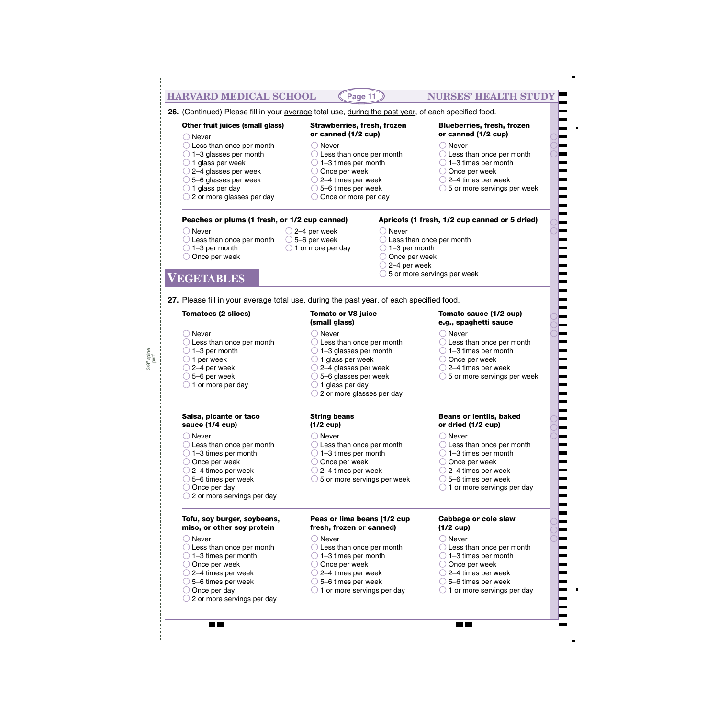| Other fruit juices (small glass)                                                                                                                                                                                                                                                                                      | <b>Strawberries, fresh, frozen</b>                      | 26. (Continued) Please fill in your average total use, during the past year, of each specified food.<br><b>Blueberries, fresh, frozen</b> |
|-----------------------------------------------------------------------------------------------------------------------------------------------------------------------------------------------------------------------------------------------------------------------------------------------------------------------|---------------------------------------------------------|-------------------------------------------------------------------------------------------------------------------------------------------|
| ◯ Never                                                                                                                                                                                                                                                                                                               | or canned (1/2 cup)                                     | or canned (1/2 cup)                                                                                                                       |
| $\bigcirc$ Less than once per month                                                                                                                                                                                                                                                                                   | ○ Never                                                 | $\bigcirc$ Never                                                                                                                          |
| $\bigcirc$ 1–3 glasses per month                                                                                                                                                                                                                                                                                      | $\bigcirc$ Less than once per month                     | $\bigcirc$ Less than once per month                                                                                                       |
| $\bigcirc$ 1 glass per week                                                                                                                                                                                                                                                                                           | $\bigcirc$ 1–3 times per month                          | $\bigcirc$ 1-3 times per month                                                                                                            |
| $\bigcirc$ 2–4 glasses per week                                                                                                                                                                                                                                                                                       | $\bigcirc$ Once per week                                | $\bigcirc$ Once per week                                                                                                                  |
| $\bigcirc$ 5–6 glasses per week                                                                                                                                                                                                                                                                                       | $\bigcirc$ 2–4 times per week                           | $\bigcirc$ 2–4 times per week                                                                                                             |
| $\bigcirc$ 1 glass per day                                                                                                                                                                                                                                                                                            | $\bigcirc$ 5–6 times per week                           | 5 or more servings per week                                                                                                               |
| $\bigcirc$ 2 or more glasses per day                                                                                                                                                                                                                                                                                  | Once or more per day                                    |                                                                                                                                           |
| Peaches or plums (1 fresh, or 1/2 cup canned)                                                                                                                                                                                                                                                                         |                                                         | Apricots (1 fresh, 1/2 cup canned or 5 dried)                                                                                             |
| $\bigcirc$ Never                                                                                                                                                                                                                                                                                                      | $\bigcirc$ 2–4 per week                                 | ) Never                                                                                                                                   |
| $\bigcirc$ Less than once per month                                                                                                                                                                                                                                                                                   | 5-6 per week                                            | Less than once per month                                                                                                                  |
| $\bigcirc$ 1–3 per month                                                                                                                                                                                                                                                                                              | 1 or more per day                                       | $\bigcirc$ 1-3 per month                                                                                                                  |
| Once per week                                                                                                                                                                                                                                                                                                         |                                                         | $\bigcirc$ Once per week                                                                                                                  |
|                                                                                                                                                                                                                                                                                                                       |                                                         | $\bigcirc$ 2–4 per week                                                                                                                   |
| VEGETABLES                                                                                                                                                                                                                                                                                                            |                                                         | 5 or more servings per week                                                                                                               |
|                                                                                                                                                                                                                                                                                                                       |                                                         |                                                                                                                                           |
| 27. Please fill in your <i>average</i> total use, <i>during the past year</i> , of each specified food.<br><b>Tomatoes (2 slices)</b>                                                                                                                                                                                 | <b>Tomato or V8 juice</b>                               | Tomato sauce (1/2 cup)                                                                                                                    |
|                                                                                                                                                                                                                                                                                                                       | (small glass)                                           | e.g., spaghetti sauce                                                                                                                     |
| Never                                                                                                                                                                                                                                                                                                                 | $\bigcirc$ Never                                        | $\bigcirc$ Never                                                                                                                          |
| $\bigcirc$ Less than once per month                                                                                                                                                                                                                                                                                   | $\bigcirc$ Less than once per month                     | $\bigcirc$ Less than once per month                                                                                                       |
| $\bigcirc$ 1–3 per month                                                                                                                                                                                                                                                                                              | $\bigcirc$ 1–3 glasses per month                        | $\bigcirc$ 1-3 times per month                                                                                                            |
| $\bigcirc$ 1 per week                                                                                                                                                                                                                                                                                                 | $\bigcirc$ 1 glass per week                             | $\bigcirc$ Once per week                                                                                                                  |
| $\bigcirc$ 2–4 per week                                                                                                                                                                                                                                                                                               | $\bigcirc$ 2–4 glasses per week                         | $\bigcirc$ 2–4 times per week                                                                                                             |
| $\bigcirc$ 5–6 per week                                                                                                                                                                                                                                                                                               | $\bigcirc$ 5–6 glasses per week                         | 5 or more servings per week                                                                                                               |
| $\bigcirc$ 1 or more per day                                                                                                                                                                                                                                                                                          | $\bigcirc$ 1 glass per day                              |                                                                                                                                           |
|                                                                                                                                                                                                                                                                                                                       | 2 or more glasses per day                               |                                                                                                                                           |
|                                                                                                                                                                                                                                                                                                                       |                                                         |                                                                                                                                           |
|                                                                                                                                                                                                                                                                                                                       | <b>String beans</b>                                     | <b>Beans or lentils, baked</b>                                                                                                            |
|                                                                                                                                                                                                                                                                                                                       | $(1/2$ cup)                                             | or dried (1/2 cup)                                                                                                                        |
|                                                                                                                                                                                                                                                                                                                       | $\bigcirc$ Never                                        | $\bigcirc$ Never                                                                                                                          |
|                                                                                                                                                                                                                                                                                                                       | Less than once per month                                |                                                                                                                                           |
|                                                                                                                                                                                                                                                                                                                       | $\supset$ 1–3 times per month                           | $\bigcirc$ 1–3 times per month                                                                                                            |
| Once per week                                                                                                                                                                                                                                                                                                         | Once per week                                           | $\bigcirc$ Once per week                                                                                                                  |
|                                                                                                                                                                                                                                                                                                                       | 2-4 times per week                                      | $\bigcirc$ 2–4 times per week                                                                                                             |
|                                                                                                                                                                                                                                                                                                                       | 5 or more servings per week                             | 5-6 times per week                                                                                                                        |
| Once per day<br>2 or more servings per day                                                                                                                                                                                                                                                                            |                                                         |                                                                                                                                           |
|                                                                                                                                                                                                                                                                                                                       |                                                         |                                                                                                                                           |
|                                                                                                                                                                                                                                                                                                                       | Peas or lima beans (1/2 cup<br>fresh, frozen or canned) | <b>Cabbage or cole slaw</b><br>$(1/2 \text{ cup})$                                                                                        |
|                                                                                                                                                                                                                                                                                                                       | $\bigcirc$ Never                                        | $\bigcirc$ Never                                                                                                                          |
|                                                                                                                                                                                                                                                                                                                       | $\Box$ Less than once per month                         |                                                                                                                                           |
|                                                                                                                                                                                                                                                                                                                       | $\bigcirc$ 1–3 times per month                          | $\bigcirc$ 1–3 times per month                                                                                                            |
|                                                                                                                                                                                                                                                                                                                       | Once per week                                           | $\bigcirc$ Once per week                                                                                                                  |
| $\bigcirc$ Never<br>$\bigcirc$ Less than once per month<br>$\bigcirc$ 1–3 times per month<br>$\bigcirc$ 2–4 times per week<br>$\bigcirc$ 5–6 times per week<br>$\bigcirc$ Never<br>$\bigcirc$ Less than once per month<br>$\bigcirc$ 1–3 times per month<br>$\bigcirc$ Once per week<br>$\bigcirc$ 2–4 times per week | 2-4 times per week                                      | $\bigcirc$ Less than once per month<br>1 or more servings per day<br>$\bigcirc$ Less than once per month<br>$\bigcirc$ 2–4 times per week |
| Salsa, picante or taco<br>sauce (1/4 cup)<br>Tofu, soy burger, soybeans,<br>miso, or other soy protein<br>$\bigcirc$ 5–6 times per week<br>$\bigcirc$ Once per day                                                                                                                                                    | 5-6 times per week<br>1 or more servings per day        | 5-6 times per week<br>1 or more servings per day                                                                                          |

**TO B** 

3/8" spine perf

 $\overline{\phantom{a}}$ 

 $\blacksquare$ 

------<br>-----

 $\overline{\phantom{0}}$ .  $\overline{\phantom{0}}$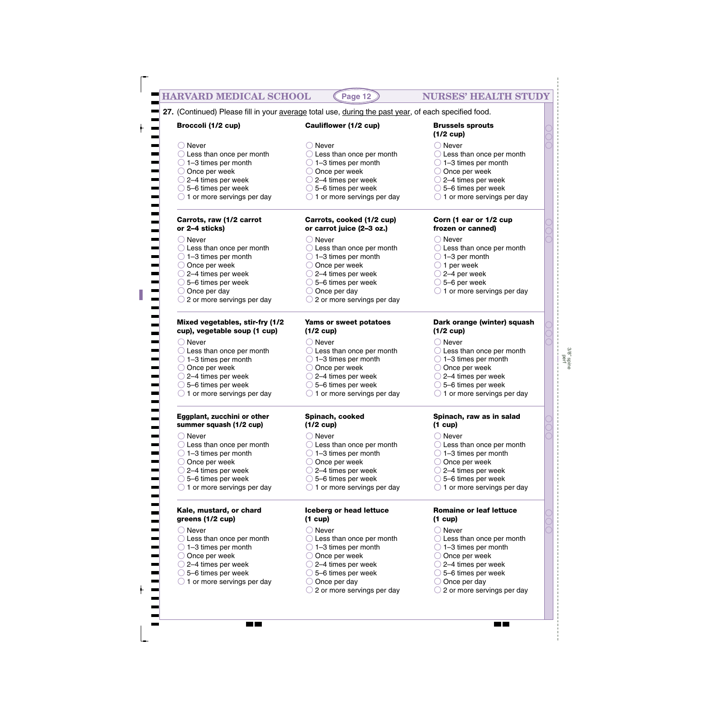| Broccoli (1/2 cup)                                                     | <b>Cauliflower (1/2 cup)</b>                                           | <b>Brussels sprouts</b><br>$(1/2$ cup)                                 |
|------------------------------------------------------------------------|------------------------------------------------------------------------|------------------------------------------------------------------------|
| $\bigcirc$ Never                                                       | $\bigcirc$ Never                                                       | $\bigcirc$ Never                                                       |
| $\bigcirc$ Less than once per month                                    | $\bigcirc$ Less than once per month                                    | $\bigcirc$ Less than once per month                                    |
| $\bigcirc$ 1-3 times per month                                         | $\bigcirc$ 1–3 times per month                                         | $\bigcirc$ 1-3 times per month                                         |
| $\bigcirc$ Once per week                                               | $\bigcirc$ Once per week                                               | $\bigcirc$ Once per week                                               |
| $\bigcirc$ 2–4 times per week                                          | $\bigcirc$ 2–4 times per week                                          | $\bigcirc$ 2–4 times per week                                          |
| $\bigcirc$ 5-6 times per week                                          | $\bigcirc$ 5-6 times per week                                          | $\bigcirc$ 5-6 times per week                                          |
| $\bigcirc$ 1 or more servings per day                                  | $\bigcirc$ 1 or more servings per day                                  | $\bigcirc$ 1 or more servings per day                                  |
| Carrots, raw (1/2 carrot<br>or 2-4 sticks)                             | Carrots, cooked (1/2 cup)<br>or carrot juice (2-3 oz.)                 | Corn (1 ear or 1/2 cup<br>frozen or canned)                            |
|                                                                        |                                                                        |                                                                        |
| $\bigcirc$ Never                                                       | ◯ Never                                                                | $\bigcirc$ Never                                                       |
| $\bigcirc$ Less than once per month                                    | $\bigcirc$ Less than once per month                                    | $\bigcirc$ Less than once per month                                    |
| $\bigcirc$ 1-3 times per month                                         | $\bigcirc$ 1–3 times per month                                         | $\bigcirc$ 1-3 per month                                               |
| $\bigcirc$ Once per week                                               | $\bigcirc$ Once per week                                               | $\bigcirc$ 1 per week                                                  |
| $\bigcirc$ 2–4 times per week                                          | $\bigcirc$ 2–4 times per week                                          | $\bigcirc$ 2–4 per week                                                |
| $\bigcirc$ 5–6 times per week<br>$\bigcirc$ Once per day               | $\bigcirc$ 5-6 times per week<br>$\bigcirc$ Once per day               | $\bigcirc$ 5–6 per week<br>$\bigcirc$ 1 or more servings per day       |
| $\bigcirc$ 2 or more servings per day                                  | $\bigcirc$ 2 or more servings per day                                  |                                                                        |
| Mixed vegetables, stir-fry (1/2                                        | Yams or sweet potatoes                                                 | Dark orange (winter) squash                                            |
| cup), vegetable soup (1 cup)                                           | $(1/2 \text{ cup})$                                                    | $(1/2$ cup)                                                            |
| $\bigcirc$ Never                                                       | $\bigcirc$ Never                                                       | $\bigcirc$ Never                                                       |
| $\bigcirc$ Less than once per month                                    | $\bigcirc$ Less than once per month                                    | $\bigcirc$ Less than once per month                                    |
| $\bigcirc$ 1-3 times per month                                         | $\bigcirc$ 1–3 times per month                                         | $\bigcirc$ 1-3 times per month                                         |
| $\bigcirc$ Once per week                                               | $\bigcirc$ Once per week                                               | $\bigcirc$ Once per week                                               |
| $\bigcirc$ 2–4 times per week                                          | $\bigcirc$ 2–4 times per week                                          | $\bigcirc$ 2–4 times per week                                          |
| $\bigcirc$ 5-6 times per week<br>$\bigcirc$ 1 or more servings per day | $\bigcirc$ 5-6 times per week<br>$\bigcirc$ 1 or more servings per day | $\bigcirc$ 5-6 times per week<br>$\bigcirc$ 1 or more servings per day |
| Eggplant, zucchini or other                                            | Spinach, cooked                                                        | Spinach, raw as in salad                                               |
| summer squash (1/2 cup)                                                | $(1/2$ cup)                                                            | $(1 \text{ cup})$                                                      |
|                                                                        |                                                                        |                                                                        |
| $\bigcirc$ Never<br>$\bigcirc$ Less than once per month                | $\bigcirc$ Never<br>$\bigcirc$ Less than once per month                | $\bigcirc$ Never<br>$\bigcirc$ Less than once per month                |
| $\bigcirc$ 1-3 times per month                                         | $\bigcirc$ 1-3 times per month                                         | $\bigcirc$ 1-3 times per month                                         |
| $\bigcirc$ Once per week                                               | $\bigcirc$ Once per week                                               | $\bigcirc$ Once per week                                               |
| $\bigcirc$ 2–4 times per week                                          | $\bigcirc$ 2–4 times per week                                          | $\bigcirc$ 2–4 times per week                                          |
| $\bigcirc$ 5-6 times per week                                          | $\bigcirc$ 5-6 times per week                                          | $\bigcirc$ 5-6 times per week                                          |
| $\bigcirc$ 1 or more servings per day                                  | $\bigcirc$ 1 or more servings per day                                  | $\bigcirc$ 1 or more servings per day                                  |
| Kale, mustard, or chard                                                | Iceberg or head lettuce                                                | <b>Romaine or leaf lettuce</b>                                         |
| greens (1/2 cup)                                                       | $(1$ cup)                                                              | $(1 \text{ cup})$                                                      |
| $\bigcirc$ Never                                                       | $\bigcirc$ Never                                                       | $\bigcirc$ Never                                                       |
| $\bigcirc$ Less than once per month                                    | $\bigcirc$ Less than once per month                                    | $\bigcirc$ Less than once per month                                    |
| $\bigcirc$ 1-3 times per month                                         | $\bigcirc$ 1–3 times per month                                         | $\bigcirc$ 1–3 times per month                                         |
| $\bigcirc$ Once per week                                               | $\bigcirc$ Once per week                                               | $\bigcirc$ Once per week                                               |
| $\bigcirc$ 2–4 times per week                                          | $\bigcirc$ 2–4 times per week                                          | $\bigcirc$ 2–4 times per week                                          |
| $\bigcirc$ 5-6 times per week                                          | $\bigcirc$ 5–6 times per week                                          | $\bigcirc$ 5-6 times per week                                          |
| $\bigcirc$ 1 or more servings per day                                  | $\bigcirc$ Once per day                                                | $\bigcirc$ Once per day                                                |
|                                                                        | 2 or more servings per day                                             | $\bigcirc$ 2 or more servings per day                                  |

- 5–6 times per week
- $\bigcirc$  1 or more servings per day

 $\blacksquare$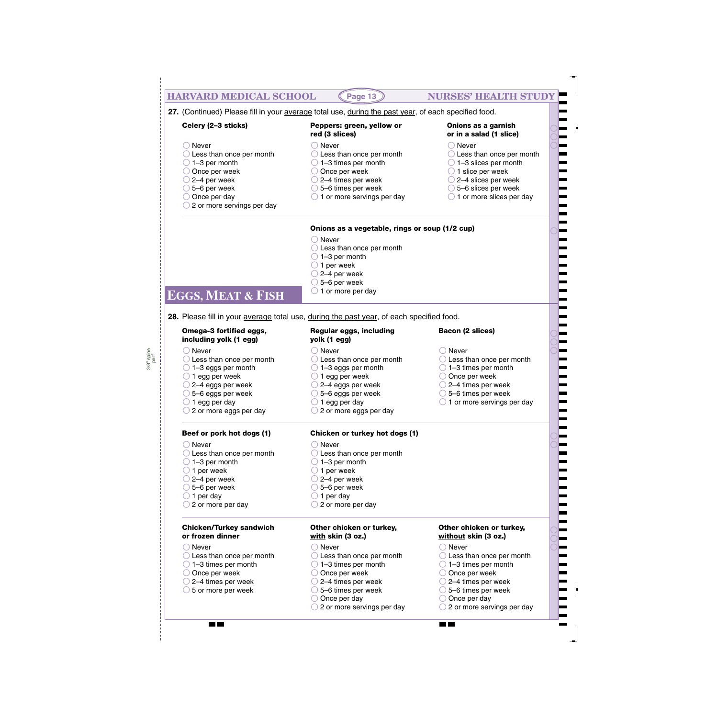| <b>HARVARD MEDICAL SCHOOL</b>                     | Page 13                                                                                              | <b>NURSES' HEALTH STUD</b>                     |
|---------------------------------------------------|------------------------------------------------------------------------------------------------------|------------------------------------------------|
|                                                   |                                                                                                      |                                                |
|                                                   | 27. (Continued) Please fill in your average total use, during the past year, of each specified food. |                                                |
| Celery (2-3 sticks)                               | Peppers: green, yellow or<br>red (3 slices)                                                          | Onions as a garnish<br>or in a salad (1 slice) |
| Never                                             | $\bigcirc$ Never                                                                                     | $\bigcirc$ Never                               |
| $\bigcirc$ Less than once per month               | $\bigcirc$ Less than once per month                                                                  | $\bigcirc$ Less than once per month            |
| $\bigcirc$ 1-3 per month                          | $\bigcirc$ 1–3 times per month                                                                       | $\bigcirc$ 1-3 slices per month                |
| $\bigcirc$ Once per week                          | $\bigcirc$ Once per week                                                                             | $\bigcirc$ 1 slice per week                    |
| $\bigcirc$ 2–4 per week                           | $\bigcirc$ 2–4 times per week                                                                        | $\bigcirc$ 2–4 slices per week                 |
| $\bigcirc$ 5–6 per week                           | $\bigcirc$ 5-6 times per week                                                                        | $\bigcirc$ 5–6 slices per week                 |
| $\bigcirc$ Once per day                           |                                                                                                      | $\bigcirc$ 1 or more slices per day            |
|                                                   | $\bigcirc$ 1 or more servings per day                                                                |                                                |
| $\bigcirc$ 2 or more servings per day             |                                                                                                      |                                                |
|                                                   | Onions as a vegetable, rings or soup (1/2 cup)                                                       |                                                |
|                                                   | $\bigcirc$ Never                                                                                     |                                                |
|                                                   | $\bigcirc$ Less than once per month                                                                  |                                                |
|                                                   | $\bigcirc$ 1-3 per month                                                                             |                                                |
|                                                   | $\bigcirc$ 1 per week                                                                                |                                                |
|                                                   | $\bigcirc$ 2–4 per week                                                                              |                                                |
|                                                   | $\bigcirc$ 5–6 per week                                                                              |                                                |
| <b>EGGS, MEAT &amp; FISH</b>                      | $\bigcirc$ 1 or more per day                                                                         |                                                |
|                                                   |                                                                                                      |                                                |
|                                                   | 28. Please fill in your average total use, during the past year, of each specified food.             |                                                |
| Omega-3 fortified eggs,<br>including yolk (1 egg) | Regular eggs, including<br>yolk (1 egg)                                                              | <b>Bacon (2 slices)</b>                        |
| $\bigcirc$ Never                                  | $\bigcirc$ Never                                                                                     | $\bigcirc$ Never                               |
| $\bigcirc$ Less than once per month               | $\bigcirc$ Less than once per month                                                                  | $\bigcirc$ Less than once per month            |
| $\bigcirc$ 1-3 eggs per month                     | $\bigcirc$ 1-3 eggs per month                                                                        | $\bigcirc$ 1-3 times per month                 |
| $\bigcirc$ 1 egg per week                         | $\bigcirc$ 1 egg per week                                                                            | Once per week                                  |
| $\bigcirc$ 2–4 eggs per week                      | $\bigcirc$ 2–4 eggs per week                                                                         | $\bigcirc$ 2–4 times per week                  |
| 5-6 eggs per week                                 | $\supset$ 5–6 eggs per week                                                                          | 5-6 times per week                             |
| $\bigcirc$ 1 egg per day                          | $\bigcirc$ 1 egg per day                                                                             | 1 or more servings per day                     |
| 2 or more eggs per day                            | 2 or more eggs per day                                                                               |                                                |
| Beef or pork hot dogs (1)                         | Chicken or turkey hot dogs (1)                                                                       |                                                |
|                                                   |                                                                                                      |                                                |
| $\bigcirc$ Never                                  | $\bigcirc$ Never                                                                                     |                                                |
| $\bigcirc$ Less than once per month               | $\bigcirc$ Less than once per month                                                                  |                                                |
| $\bigcirc$ 1–3 per month                          | $\bigcirc$ 1-3 per month                                                                             |                                                |
| $\bigcirc$ 1 per week                             | $\bigcirc$ 1 per week                                                                                |                                                |
| $\bigcirc$ 2–4 per week                           | $\ge$ 2–4 per week                                                                                   |                                                |
| $\bigcirc$ 5–6 per week                           | $\bigcirc$ 5–6 per week                                                                              |                                                |
| $\bigcirc$ 1 per day                              | $\bigcirc$ 1 per day                                                                                 |                                                |
| $\bigcirc$ 2 or more per day                      | $\bigcirc$ 2 or more per day                                                                         |                                                |
| <b>Chicken/Turkey sandwich</b>                    | Other chicken or turkey,                                                                             | Other chicken or turkey,                       |
| or frozen dinner                                  | with skin (3 oz.)                                                                                    | without skin (3 oz.)                           |
| $\bigcirc$ Never                                  | $\bigcirc$ Never                                                                                     | $\bigcirc$ Never                               |
| $\bigcirc$ Less than once per month               | $\bigcirc$ Less than once per month                                                                  | $\bigcirc$ Less than once per month            |
| $\bigcirc$ 1–3 times per month                    | $\bigcirc$ 1–3 times per month                                                                       | $\bigcirc$ 1-3 times per month                 |
| Once per week                                     | Once per week                                                                                        | Once per week                                  |
| $\bigcirc$ 2–4 times per week                     | $\supset$ 2–4 times per week                                                                         | $\bigcirc$ 2–4 times per week                  |
| $\bigcirc$ 5 or more per week                     | 5-6 times per week                                                                                   | $\bigcirc$ 5–6 times per week                  |
|                                                   | Once per day                                                                                         | Once per day                                   |
|                                                   |                                                                                                      |                                                |
|                                                   | $\bigcirc$ 2 or more servings per day                                                                | $\bigcirc$ 2 or more servings per day          |

3/8" spine perf

 $\overline{\phantom{a}}$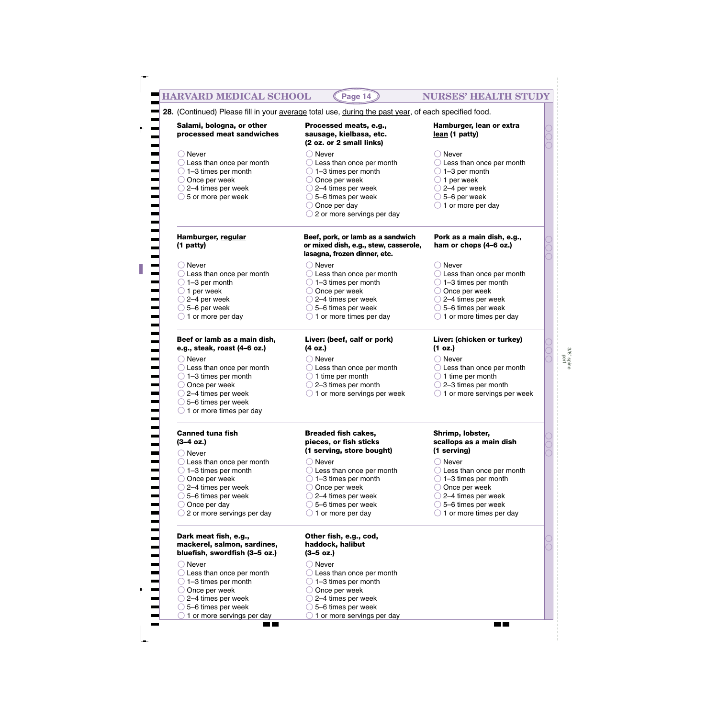

5–6 times per week

 $\bigcirc$  1 or more servings per day

5–6 times per week

 $\bigcirc$  1 or more servings per day

m m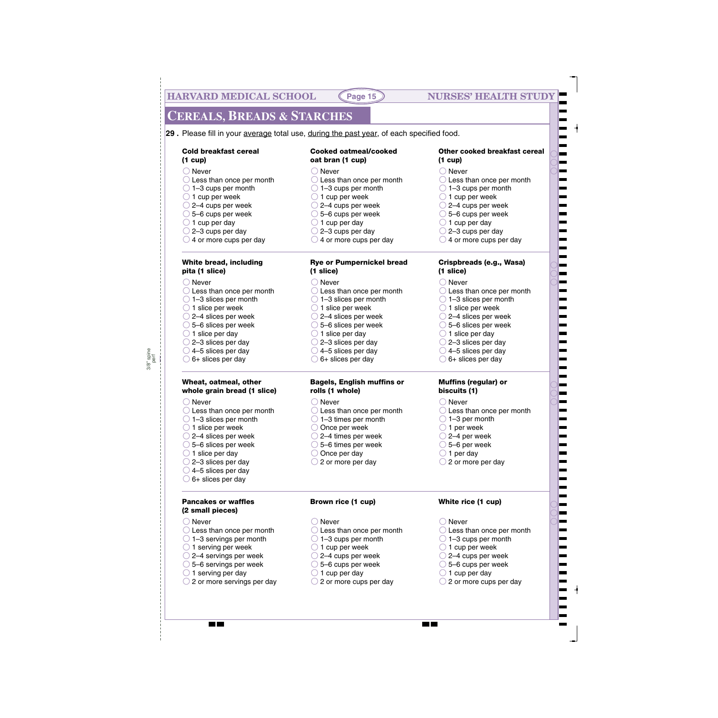# **CEREALS, BREADS & STARCHES**

29. Please fill in your average total use, during the past year, of each specified food.

### **Cold breakfast cereal (1 cup)**

- ◯ Never
- O Less than once per month
- $\bigcirc$  1–3 cups per month
- $\bigcirc$  1 cup per week
- 2–4 cups per week
- $\bigcirc$  5–6 cups per week
- $\bigcirc$  1 cup per day
- $\bigcirc$  2–3 cups per day
- $\bigcirc$  4 or more cups per day

# **White bread, including pita (1 slice)**

### ◯ Never

- O Less than once per month
- $\bigcirc$  1–3 slices per month
- $\bigcirc$  1 slice per week
- 2–4 slices per week
- 5–6 slices per week
- $\bigcirc$  1 slice per day
- $\bigcirc$  2–3 slices per day
- $\bigcirc$  4–5 slices per day
- $\bigcirc$  6+ slices per day

#### **Wheat, oatmeal, other whole grain bread (1 slice)**

#### ◯ Never

3/8" spine perf

- ◯ Less than once per month
- $\bigcirc$  1–3 slices per month
- $\bigcirc$  1 slice per week
- 2–4 slices per week
- 5–6 slices per week
- $\bigcirc$  1 slice per day
- 2–3 slices per day
- $\bigcirc$  4–5 slices per day
- $\bigcirc$  6+ slices per day

### **Pancakes or waffles (2 small pieces)**

- ◯ Never
- O Less than once per month
- $\bigcirc$  1–3 servings per month
- $\bigcirc$  1 serving per week
- $\bigcirc$  2–4 servings per week
- 5–6 servings per week
- $\bigcirc$  1 serving per day

**The Contract** 

◯ 2 or more servings per day

## **Cooked oatmeal/cooked oat bran (1 cup)**

- ◯ Never
- O Less than once per month
- $\bigcirc$  1–3 cups per month
- $\bigcirc$  1 cup per week
- $\bigcirc$  2–4 cups per week
- 5–6 cups per week
- $\bigcirc$  1 cup per day
- $\bigcirc$  2–3 cups per day
- $\bigcirc$  4 or more cups per day

# **Rye or Pumpernickel bread (1 slice)**

- ◯ Never
- Less than once per month
- 1–3 slices per month
- $\bigcirc$  1 slice per week
- $\bigcirc$  2–4 slices per week
- 5–6 slices per week
- $\bigcirc$  1 slice per day
- $\bigcirc$  2–3 slices per day
- $\bigcirc$  4–5 slices per day
- $\bigcirc$  6+ slices per day

# **Bagels, English muffins or rolls (1 whole)**

- ◯ Never
- ◯ Less than once per month
- $\bigcirc$  1–3 times per month
- O Once per week
- 2–4 times per week
- 5–6 times per week
- O Once per day
- $\bigcirc$  2 or more per day

### **Brown rice (1 cup)**

◯ Never

- $\bigcirc$  Less than once per month
- $\bigcirc$  1–3 cups per month
- $\bigcirc$  1 cup per week
- $\bigcirc$  2–4 cups per week
- 5–6 cups per week
- $\bigcirc$  1 cup per day
- $\bigcirc$  2 or more cups per day

## **Other cooked breakfast cereal (1 cup)**

- ◯ Never
- $\bigcirc$  Less than once per month
- $\bigcirc$  1–3 cups per month
- $\bigcirc$  1 cup per week
- 2–4 cups per week
- 5–6 cups per week
- $\bigcirc$  1 cup per day
- $\bigcirc$  2–3 cups per day
- $\bigcirc$  4 or more cups per day
- 

# **Crispbreads (e.g., Wasa) (1 slice)**

◯ Never

◯ Never

**biscuits (1)**

 $\bigcirc$  1–3 per month  $\bigcirc$  1 per week  $\bigcirc$  2–4 per week 5–6 per week  $\bigcirc$  1 per day

**Muffins (regular) or**

 $\bigcirc$  2 or more per day

**White rice (1 cup)**

 $\bigcirc$  Less than once per month  $\bigcirc$  1–3 cups per month  $\bigcirc$  1 cup per week  $\bigcirc$  2–4 cups per week 5–6 cups per week  $\bigcirc$  1 cup per day

◯ 2 or more cups per day

◯ Never

**The Co** 

 $\bigcirc$  Less than once per month

◯ Less than once per month

1–3 slices per month  $\bigcirc$  1 slice per week

5–6 slices per week  $\bigcirc$  1 slice per day  $\bigcirc$  2–3 slices per day  $\bigcirc$  4–5 slices per day  $\bigcirc$  6+ slices per day

 $\bigcirc$  2–4 slices per week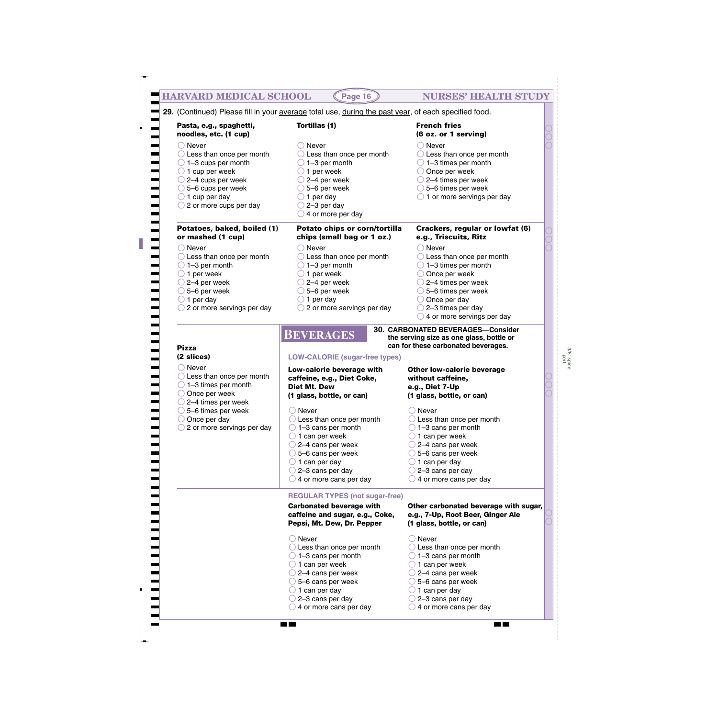| <b>MEDICAL SCHO</b>                                                                                                                                                                                                                                      | Page 16                                                                                                                                                                                                                                                                                                                                                   |
|----------------------------------------------------------------------------------------------------------------------------------------------------------------------------------------------------------------------------------------------------------|-----------------------------------------------------------------------------------------------------------------------------------------------------------------------------------------------------------------------------------------------------------------------------------------------------------------------------------------------------------|
|                                                                                                                                                                                                                                                          | 29. (Continued) Please fill in your average total use, during the past ye                                                                                                                                                                                                                                                                                 |
| Pasta, e.g., spaghetti,<br>noodles, etc. (1 cup)                                                                                                                                                                                                         | Tortillas (1)                                                                                                                                                                                                                                                                                                                                             |
| ◯ Never<br>$\bigcirc$ Less than once per month<br>$\bigcirc$ 1–3 cups per month<br>$\bigcirc$ 1 cup per week<br>$\bigcirc$ 2–4 cups per week<br>$\bigcirc$ 5–6 cups per week<br>$\bigcirc$ 1 cup per day<br>$\bigcirc$ 2 or more cups per day            | Never<br>$\bigcirc$ Less than once per month<br>$\supset$ 1–3 per month<br>1 per week<br>2-4 per week<br>5-6 per week<br>1 per day<br>2-3 per day<br>4 or more per day                                                                                                                                                                                    |
| Potatoes, baked, boiled (1)                                                                                                                                                                                                                              | Potato chips or corn/tortilla                                                                                                                                                                                                                                                                                                                             |
| or mashed (1 cup)<br>$\bigcirc$ Never<br>$\bigcirc$ Less than once per month<br>$\bigcirc$ 1–3 per month<br>$\bigcirc$ 1 per week<br>$\bigcirc$ 2–4 per week<br>$\bigcirc$ 5–6 per week<br>$\bigcirc$ 1 per day<br>$\bigcirc$ 2 or more servings per day | chips (small bag or 1 oz.)<br>$\supset$ Never<br>$\bigcirc$ Less than once per month<br>$\supset$ 1–3 per month<br>1 per week<br>2-4 per week<br>5-6 per week<br>1 per day<br>2 or more servings per day                                                                                                                                                  |
| <b>Pizza</b>                                                                                                                                                                                                                                             | <b>30. CAR</b><br><b>BEVERAGES</b><br>the s<br>can t                                                                                                                                                                                                                                                                                                      |
| (2 slices)<br>$\bigcirc$ Never<br>$\bigcirc$ Less than once per month<br>$\bigcirc$ 1–3 times per month<br>$\bigcirc$ Once per week<br>$\bigcirc$ 2–4 times per week<br>5-6 times per week<br>Once per day<br>2 or more servings per day                 | <b>LOW-CALORIE (sugar-free types)</b><br>Low-calorie beverage with<br>caffeine, e.g., Diet Coke,<br><b>Diet Mt. Dew</b><br>(1 glass, bottle, or can)<br>Never<br>$\bigcirc$ Less than once per month<br>1-3 cans per month<br>1 can per week<br>2-4 cans per week<br>5-6 cans per week<br>) 1 can per day<br>) 2–3 cans per day<br>4 or more cans per day |
|                                                                                                                                                                                                                                                          | <b>REGULAR TYPES (not sugar-free)</b><br><b>Carbonated beverage with</b><br>caffeine and sugar, e.g., Coke,<br>Pepsi, Mt. Dew, Dr. Pepper                                                                                                                                                                                                                 |
|                                                                                                                                                                                                                                                          | $\supset$ Never<br>$\cup$ Less than once per month<br>$\supset$ 1–3 cans per month<br>) 1 can per week<br>$\sqrt{2}$ 2–4 cans per week<br>) 5–6 cans per week<br>) 1 can per day<br>) 2–3 cans per day<br>4 or more cans per day                                                                                                                          |

# **NURSES' HEALTH STUDY**

**French fries**

| odles, etc. (1 cup)                                                                                                                                                   |                                                                                                                                                                                                                                           | (6 oz. or 1 serving)                                                                                                                                                                                                                                                |
|-----------------------------------------------------------------------------------------------------------------------------------------------------------------------|-------------------------------------------------------------------------------------------------------------------------------------------------------------------------------------------------------------------------------------------|---------------------------------------------------------------------------------------------------------------------------------------------------------------------------------------------------------------------------------------------------------------------|
| <b>Never</b><br>Less than once per month<br>1-3 cups per month<br>1 cup per week<br>2-4 cups per week<br>5-6 cups per week<br>1 cup per day<br>2 or more cups per day | Never<br>$\bigcirc$ Less than once per month<br>$\bigcirc$ 1–3 per month<br>$\bigcirc$ 1 per week<br>$\bigcirc$ 2–4 per week<br>$\bigcirc$ 5–6 per week<br>$\bigcirc$ 1 per day<br>$\bigcirc$ 2–3 per day<br>$\bigcirc$ 4 or more per day | $\bigcirc$ Never<br>$\bigcirc$ Less than once per month<br>$\bigcirc$ 1–3 times per month<br>$\bigcirc$ Once per week<br>$\bigcirc$ 2–4 times per week<br>$\bigcirc$ 5–6 times per week<br>$\bigcirc$ 1 or more servings per day                                    |
| otatoes, baked, boiled (1)<br>mashed (1 cup)                                                                                                                          | Potato chips or corn/tortilla<br>chips (small bag or 1 oz.)                                                                                                                                                                               | Crackers, regular or lowfat (6)<br>e.g., Triscuits, Ritz                                                                                                                                                                                                            |
| ∣ Never<br>Less than once per month<br>1-3 per month<br>1 per week<br>2-4 per week<br>5-6 per week<br>1 per day<br>2 or more servings per day                         | ◯ Never<br>$\bigcirc$ Less than once per month<br>$\bigcirc$ 1-3 per month<br>$\bigcirc$ 1 per week<br>2-4 per week<br>5-6 per week<br>$\geq 1$ per day<br>2 or more servings per day                                                     | ○ Never<br>$\bigcirc$ Less than once per month<br>$\bigcirc$ 1–3 times per month<br>$\bigcirc$ Once per week<br>$\bigcirc$ 2–4 times per week<br>$\bigcirc$ 5–6 times per week<br>Once per day<br>( )<br>$\bigcirc$ 2–3 times per day<br>4 or more servings per day |
| zza<br>slices)                                                                                                                                                        | <b>BEVERAGES</b><br><b>LOW-CALORIE (sugar-free types)</b>                                                                                                                                                                                 | 30. CARBONATED BEVERAGES-Consider<br>the serving size as one glass, bottle or<br>can for these carbonated beverages.                                                                                                                                                |
| <b>Never</b><br>Less than once per month<br>1-3 times per month<br>Once per week<br>2-4 times per week<br>5-6 times per week                                          | Low-calorie beverage with<br>caffeine, e.g., Diet Coke,<br><b>Diet Mt. Dew</b><br>(1 glass, bottle, or can)<br>○ Never                                                                                                                    | <b>Other low-calorie beverage</b><br>without caffeine,<br>e.g., Diet 7-Up<br>(1 glass, bottle, or can)<br>◯ Never                                                                                                                                                   |
| Once per day<br>2 or more servings per day                                                                                                                            | $\bigcirc$ Less than once per month<br>$\bigcirc$ 1-3 cans per month<br>$\bigcirc$ 1 can per week                                                                                                                                         | $\bigcirc$ Less than once per month<br>$\bigcirc$ 1-3 cans per month<br>$\bigcirc$ 1 can per week                                                                                                                                                                   |

- $\bigcirc$  2–4 cans per week
- 5–6 cans per week
- $\bigcirc$  1 can per day
- 2–3 cans per day
- $\bigcirc$  4 or more cans per day

# **Other carbonated beverage with sugar, e.g., 7-Up, Root Beer, GInger Ale (1 glass, bottle, or can)**

- ◯ Never
- $\bigcirc$  Less than once per month
- $\bigcirc$  1–3 cans per month
- $\bigcirc$  1 can per week
- 2–4 cans per week
- 5–6 cans per week
- $\bigcirc$  1 can per day
- $\bigcirc$  2–3 cans per day
- $\bigcirc$  4 or more cans per day
- 
- 

3/8" spine perf

 $\blacksquare$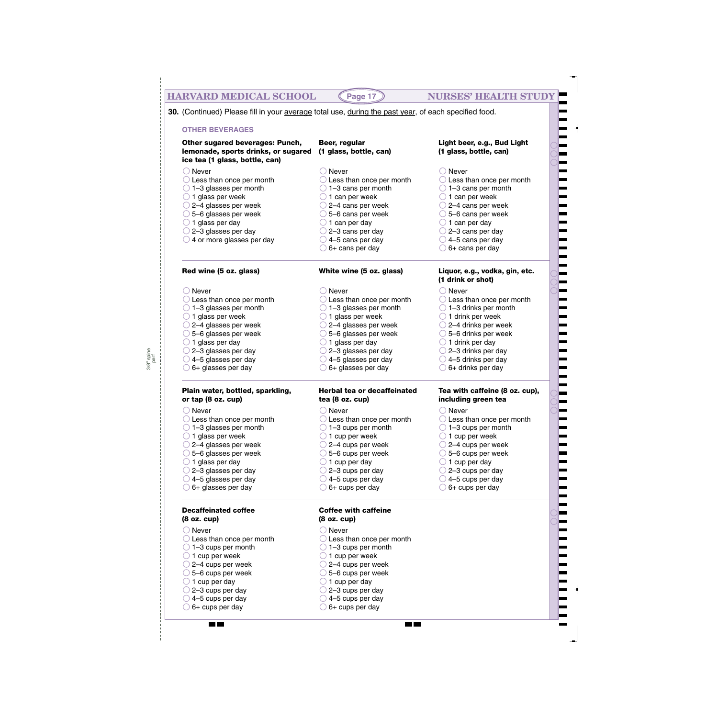# **HARVARD MEDICAL SCHOOL (Page 17) NURSES' HEALTH STUDY**

**30.** (Continued) Please fill in your average total use, during the past year, of each specified food.

| <b>OTHER BEVERAGES</b>                                                                                                                                                                                                                                                                                                     |                                                                                                                                                                                                                                                                                                                          |                                                                                                                                                                                                                                                                                                                               |  |  |
|----------------------------------------------------------------------------------------------------------------------------------------------------------------------------------------------------------------------------------------------------------------------------------------------------------------------------|--------------------------------------------------------------------------------------------------------------------------------------------------------------------------------------------------------------------------------------------------------------------------------------------------------------------------|-------------------------------------------------------------------------------------------------------------------------------------------------------------------------------------------------------------------------------------------------------------------------------------------------------------------------------|--|--|
| Other sugared beverages: Punch,<br>lemonade, sports drinks, or sugared<br>ice tea (1 glass, bottle, can)                                                                                                                                                                                                                   | Beer, regular<br>(1 glass, bottle, can)                                                                                                                                                                                                                                                                                  | Light beer, e.g., Bud Light<br>(1 glass, bottle, can)                                                                                                                                                                                                                                                                         |  |  |
| $\bigcirc$ Never<br>$\bigcirc$ Less than once per month<br>$\bigcirc$ 1–3 glasses per month<br>$\bigcirc$ 1 glass per week<br>$\bigcirc$ 2–4 glasses per week<br>$\bigcirc$ 5–6 glasses per week<br>$\bigcirc$ 1 glass per day<br>$\bigcirc$ 2–3 glasses per day<br>$\bigcirc$ 4 or more glasses per day                   | $\bigcirc$ Never<br>$\bigcirc$ Less than once per month<br>$\bigcirc$ 1-3 cans per month<br>$\bigcirc$ 1 can per week<br>$\bigcirc$ 2–4 cans per week<br>$\bigcirc$ 5–6 cans per week<br>$\bigcirc$ 1 can per day<br>$\bigcirc$ 2–3 cans per day<br>$\bigcirc$ 4–5 cans per day<br>$\bigcirc$ 6+ cans per day            | $\bigcirc$ Never<br>$\bigcirc$ Less than once per month<br>$\bigcirc$ 1-3 cans per month<br>$\bigcirc$ 1 can per week<br>$\bigcirc$ 2–4 cans per week<br>$\bigcirc$ 5–6 cans per week<br>$\bigcirc$ 1 can per day<br>○ 2-3 cans per day<br>$\bigcirc$ 4–5 cans per day<br>$\bigcirc$ 6+ cans per day                          |  |  |
| Red wine (5 oz. glass)                                                                                                                                                                                                                                                                                                     | White wine (5 oz. glass)                                                                                                                                                                                                                                                                                                 | Liquor, e.g., vodka, gin, etc.<br>(1 drink or shot)                                                                                                                                                                                                                                                                           |  |  |
| ◯ Never<br>$\bigcirc$ Less than once per month<br>$\bigcirc$ 1–3 glasses per month<br>$\bigcirc$ 1 glass per week<br>$\bigcirc$ 2–4 glasses per week<br>$\bigcirc$ 5–6 glasses per week<br>$\bigcirc$ 1 glass per day<br>$\bigcirc$ 2-3 glasses per day<br>$\bigcirc$ 4–5 glasses per day<br>$\bigcirc$ 6+ glasses per day | $\bigcirc$ Never<br>$\bigcirc$ Less than once per month<br>$\bigcirc$ 1–3 glasses per month<br>$\bigcirc$ 1 glass per week<br>$\bigcirc$ 2–4 glasses per week<br>$\bigcirc$ 5–6 glasses per week<br>$\bigcirc$ 1 glass per day<br>$\bigcirc$ 2-3 glasses per day<br>$\bigcirc$ 4–5 glasses per day<br>6+ glasses per day | $\bigcirc$ Never<br>$\bigcirc$ Less than once per month<br>$\bigcirc$ 1-3 drinks per month<br>$\bigcirc$ 1 drink per week<br>$\bigcirc$ 2–4 drinks per week<br>$\bigcirc$ 5–6 drinks per week<br>$\bigcirc$ 1 drink per day<br>$\bigcirc$ 2–3 drinks per day<br>$\bigcirc$ 4–5 drinks per day<br>$\bigcirc$ 6+ drinks per day |  |  |
| Plain water, bottled, sparkling,<br>or tap (8 oz. cup)                                                                                                                                                                                                                                                                     | <b>Herbal tea or decaffeinated</b><br>tea (8 oz. cup)                                                                                                                                                                                                                                                                    | Tea with caffeine (8 oz. cup),<br>including green tea                                                                                                                                                                                                                                                                         |  |  |
| $\bigcirc$ Never                                                                                                                                                                                                                                                                                                           | $\bigcirc$ Never                                                                                                                                                                                                                                                                                                         | $\bigcirc$ Never                                                                                                                                                                                                                                                                                                              |  |  |
| $\bigcirc$ Less than once per month                                                                                                                                                                                                                                                                                        | $\bigcirc$ Less than once per month                                                                                                                                                                                                                                                                                      | $\bigcirc$ Less than once per month                                                                                                                                                                                                                                                                                           |  |  |
| $\bigcirc$ 1–3 glasses per month                                                                                                                                                                                                                                                                                           | $\bigcirc$ 1-3 cups per month                                                                                                                                                                                                                                                                                            | $\bigcirc$ 1-3 cups per month                                                                                                                                                                                                                                                                                                 |  |  |
| $\bigcirc$ 1 glass per week                                                                                                                                                                                                                                                                                                | $\bigcirc$ 1 cup per week                                                                                                                                                                                                                                                                                                | $\bigcirc$ 1 cup per week                                                                                                                                                                                                                                                                                                     |  |  |
| 2-4 glasses per week                                                                                                                                                                                                                                                                                                       | 2-4 cups per week                                                                                                                                                                                                                                                                                                        | 2-4 cups per week                                                                                                                                                                                                                                                                                                             |  |  |
| $\bigcirc$ 5–6 glasses per week                                                                                                                                                                                                                                                                                            | $\bigcirc$ 5–6 cups per week                                                                                                                                                                                                                                                                                             | $\bigcirc$ 5–6 cups per week                                                                                                                                                                                                                                                                                                  |  |  |
| $\bigcirc$ 1 glass per day                                                                                                                                                                                                                                                                                                 | $\supset$ 1 cup per day                                                                                                                                                                                                                                                                                                  | $\bigcirc$ 1 cup per day                                                                                                                                                                                                                                                                                                      |  |  |
| $\bigcirc$ 2–3 glasses per day                                                                                                                                                                                                                                                                                             | 2-3 cups per day                                                                                                                                                                                                                                                                                                         | 2-3 cups per day                                                                                                                                                                                                                                                                                                              |  |  |
| $\bigcirc$ 4–5 glasses per day                                                                                                                                                                                                                                                                                             | 4-5 cups per day                                                                                                                                                                                                                                                                                                         | $\bigcirc$ 4–5 cups per day                                                                                                                                                                                                                                                                                                   |  |  |
| 6+ glasses per day                                                                                                                                                                                                                                                                                                         | 6+ cups per day                                                                                                                                                                                                                                                                                                          | $\bigcirc$ 6+ cups per day                                                                                                                                                                                                                                                                                                    |  |  |
| <b>Decaffeinated coffee</b><br>(8 oz. cup)                                                                                                                                                                                                                                                                                 | <b>Coffee with caffeine</b><br>(8 oz. cup)                                                                                                                                                                                                                                                                               |                                                                                                                                                                                                                                                                                                                               |  |  |
| Never                                                                                                                                                                                                                                                                                                                      | $\bigcirc$ Never                                                                                                                                                                                                                                                                                                         |                                                                                                                                                                                                                                                                                                                               |  |  |

- O Less than once per month
- $\bigcirc$  1–3 cups per month
- $\bigcirc$  1 cup per week

3/8" spine perf

- 2–4 cups per week
- 5–6 cups per week
- $\bigcirc$  1 cup per day
- 2–3 cups per day
- $\bigcirc$  4–5 cups per day
- $\bigcirc$  6+ cups per day

**The Co** 

| $\!\!\!\!\!\!\!$ ) Less than once per month |
|---------------------------------------------|
| $\geq$ 1–3 cups per month                   |
| $\pm$ 1 cun nor wook                        |

- $\cup$  1 cup per week
- $\bigcirc$  2–4 cups per week
- $\bigcirc$  5–6 cups per week
- $\bigcirc$  1 cup per day
- $\bigcirc$  2–3 cups per day
- $\bigcirc$  4–5 cups per day
- $\bigcirc$  6+ cups per day

m m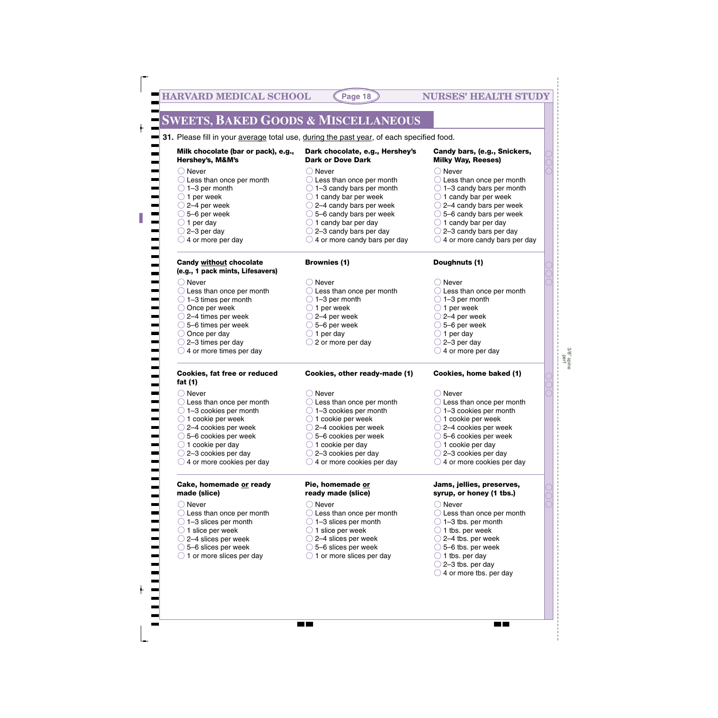# **SWEETS, BAKED GOODS & MISCELLANEOUS**

**31.** Please fill in your **average** total use, during the past year, of each specified food.

**Milk chocolate (bar or pack), e.g., Hershey's, M&M's**

# **Dark chocolate, e.g., Hershey's Dark or Dove Dark**

- 
- ◯ Less than once per month
- $\bigcirc$  1–3 per month
- $\bigcirc$  1 per week

◯ Never

- $\bigcirc$  2–4 per week
- 5–6 per week
- 
- $\bigcirc$  1 per day
- $\bigcirc$  2–3 per day
- $\bigcirc$  4 or more per day

- ◯ Never
- ◯ Less than once per month
- $\bigcirc$  1–3 candy bars per month
- $\bigcirc$  1 candy bar per week
- $\bigcirc$  2–4 candy bars per week
- $\bigcirc$  5–6 candy bars per week
- $\bigcirc$  1 candy bar per day
- $\bigcirc$  2–3 candy bars per day
- $\bigcirc$  4 or more candy bars per day

## **Candy bars, (e.g., Snickers, Milky Way, Reeses)**

- ◯ Never
- $\bigcirc$  Less than once per month
- $\bigcirc$  1–3 candy bars per month
- $\bigcirc$  1 candy bar per week
- $\bigcirc$  2–4 candy bars per week
- $\bigcirc$  5–6 candy bars per week
- $\bigcirc$  1 candy bar per day
- $\bigcirc$  2–3 candy bars per day
- $\bigcirc$  4 or more candy bars per day
- **Candy without chocolate (e.g., 1 pack mints, Lifesavers)** ◯ Never ◯ Less than once per month  $\bigcirc$  1–3 times per month O Once per week  $\bigcirc$  2–4 times per week 5–6 times per week  $\bigcirc$  Once per day  $\bigcirc$  2–3 times per day  $\bigcirc$  4 or more times per day **Brownies (1)** Doughnuts (1) ◯ Never  $\bigcirc$  Less than once per month  $\bigcirc$  1–3 per month  $\bigcirc$  1 per week  $\bigcirc$  2–4 per week  $\bigcirc$  5–6 per week  $\bigcirc$  1 per day  $\bigcirc$  2 or more per day ◯ Never  $\bigcirc$  Less than once per month  $\bigcirc$  1–3 per month  $\bigcirc$  1 per week  $\bigcirc$  2–4 per week  $\bigcirc$  5–6 per week  $\bigcirc$  1 per day  $\bigcirc$  2–3 per day  $\bigcirc$  4 or more per day **Cookies, other ready-made (1)** ◯ Never O Less than once per month  $\bigcirc$  1–3 cookies per month  $\bigcirc$  1 cookie per week 2–4 cookies per week 5–6 cookies per week  $\bigcirc$  1 cookie per day 2–3 cookies per day  $\bigcirc$  4 or more cookies per day ◯ Never  $\bigcirc$  Less than once per month  $\bigcirc$  1–3 cookies per month  $\bigcirc$  1 cookie per week 2–4 cookies per week 5–6 cookies per week  $\bigcirc$  1 cookie per day  $\bigcirc$  2–3 cookies per day  $\bigcirc$  4 or more cookies per day ◯ Never ◯ Less than once per month  $\bigcirc$  1–3 cookies per month  $\bigcirc$  1 cookie per week 2–4 cookies per week 5–6 cookies per week  $\bigcirc$  1 cookie per day  $\bigcirc$  2–3 cookies per day  $\bigcirc$  4 or more cookies per day **Cookies, fat free or reduced fat (1) Cookies, home baked (1) Jams, jellies, preserves, syrup, or honey (1 tbs.)** ◯ Never ◯ Less than once per month  $\bigcirc$  1–3 tbs. per month  $\bigcirc$  1 tbs. per week ◯ Never ◯ Less than once per month  $\bigcirc$  1–3 slices per month  $\bigcirc$  1 slice per week **Pie, homemade or ready made (slice)** ◯ Never  $\bigcirc$  Less than once per month  $\bigcirc$  1–3 slices per month  $\bigcirc$  1 slice per week **Cake, homemade or ready made (slice)**
- $\bigcirc$  2–4 slices per week
- 5–6 slices per week
- $\bigcirc$  1 or more slices per day
- 2–4 slices per week
- 5–6 slices per week

**MA** 

- $\bigcirc$  1 or more slices per day
- $\bigcirc$  2–4 tbs. per week
- $\bigcirc$  5–6 tbs. per week
- $\bigcirc$  1 tbs. per day
- $\bigcirc$  2–3 tbs. per day
- $\bigcirc$  4 or more tbs. per day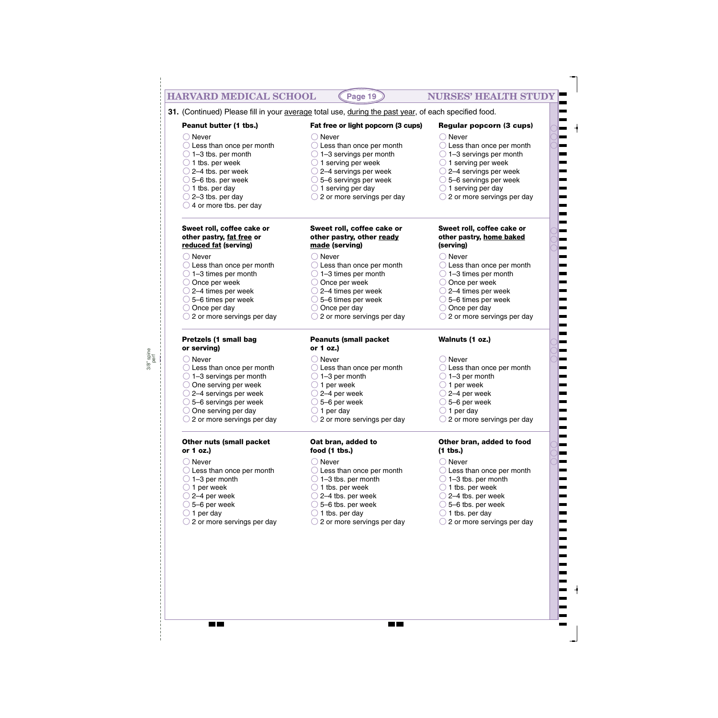#### **HARVARD MEDICAL SCHOOL (Page 19) NURSES' HEALTH STUDY Page 19**

 $\bigcirc$  Less than once per month  $\bigcirc$  1–3 servings per month  $\bigcirc$  1 serving per week 2–4 servings per week 5–6 servings per week  $\bigcirc$  1 serving per day

**31.** (Continued) Please fill in your average total use, during the past year, of each specified food.

### **Peanut butter (1 tbs.)**

 $\bigcirc$  1–3 tbs. per month  $\bigcirc$  1 tbs. per week  $\bigcirc$  2–4 tbs. per week  $\bigcirc$  5–6 tbs. per week  $\bigcirc$  1 tbs. per day  $\bigcirc$  2–3 tbs. per day  $\bigcirc$  4 or more tbs. per day

◯ Less than once per month

**Sweet roll, coffee cake or other pastry, fat free or reduced fat (serving)**

◯ Less than once per month  $\bigcirc$  1–3 times per month O Once per week  $\bigcirc$  2–4 times per week 5–6 times per week  $\bigcirc$  Once per day

 $\bigcirc$  2 or more servings per day

◯ Never

#### **Fat free or light popcorn (3 cups) Regular popcorn (3 cups)**

- ◯ Never
	- Less than once per month
	- $\bigcirc$  1–3 servings per month
	- $\bigcirc$  1 serving per week
	- 2–4 servings per week
	- 5–6 servings per week
	- $\bigcirc$  1 serving per day
	- $\bigcirc$  2 or more servings per day

## **Sweet roll, coffee cake or other pastry, other ready made (serving)**

- ◯ Never
	- ◯ Less than once per month
	- $\bigcirc$  1–3 times per month
	- O Once per week
	- $\bigcirc$  2–4 times per week
	- 5–6 times per week
	- $\bigcirc$  Once per day
	- $\bigcirc$  2 or more servings per day

## **Peanuts (small packet or 1 oz.)**

- ◯ Never
- ◯ Less than once per month
- $\bigcirc$  1–3 per month
- $\bigcirc$  1 per week
- $\bigcirc$  2–4 per week
- 5–6 per week
- $\bigcirc$  1 per day
- $\bigcirc$  2 or more servings per day

## **Oat bran, added to food (1 tbs.)**

- ◯ Never
- ◯ Less than once per month
- $\bigcirc$  1–3 tbs. per month
- $\bigcirc$  1 tbs. per week
- $\bigcirc$  2–4 tbs. per week
- 5–6 tbs. per week
- $\bigcirc$  1 tbs. per day
- $\bigcirc$  2 or more servings per day

**The Co** 

# **Sweet roll, coffee cake or other pastry, home baked (serving)**

 $\bigcirc$  2 or more servings per day

◯ Never

◯ Never

- ◯ Less than once per month
- $\bigcirc$  1–3 times per month
- O Once per week
- $\bigcirc$  2–4 times per week
- 5–6 times per week
- $\bigcirc$  Once per day
- $\bigcirc$  2 or more servings per day

# **Walnuts (1 oz.)**

- ◯ Never
- ◯ Less than once per month
- $\bigcirc$  1–3 per month
- $\bigcirc$  1 per week
- $\bigcirc$  2–4 per week
- 5–6 per week
- $\bigcirc$  1 per day
- ◯ 2 or more servings per day

### **Other bran, added to food (1 tbs.)**

- ◯ Never
- ◯ Less than once per month
- $\bigcirc$  1–3 tbs. per month
- $\bigcirc$  1 tbs. per week
- $\bigcirc$  2–4 tbs. per week
- 5–6 tbs. per week
- $\bigcirc$  1 tbs. per day
- $\bigcirc$  2 or more servings per day

**or serving)**

◯ Never

- 
- 
- 
- $\bigcirc$  1–3 per month
- $\bigcirc$  1 per week
- $\bigcirc$  2–4 per week
- 5–6 per week
- $\bigcirc$  1 per day
	-

5–6 servings per week

 $\bigcirc$  One serving per day

 $\bigcirc$  2 or more servings per day

# **Other nuts (small packet or 1 oz.)**

- ◯ Never
- ◯ Less than once per month
- 
- 
- 
- 
- 
- $\bigcirc$  2 or more servings per day

3/8" spine perf

- ◯ Never
	- ◯ Less than once per month
	- $\bigcirc$  1–3 servings per month

**Pretzels (1 small bag**

- $\bigcirc$  One serving per week
- $\bigcirc$  2–4 servings per week
- 
-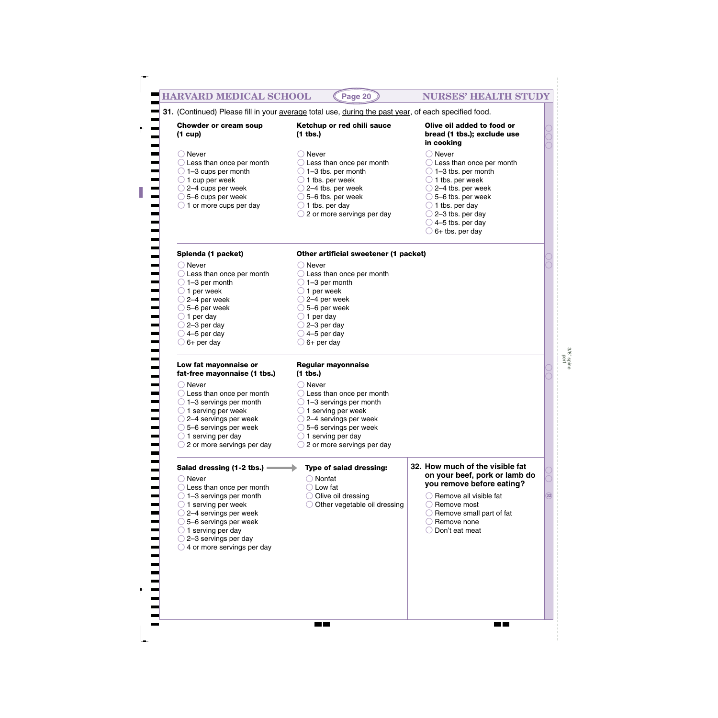| <b>Chowder or cream soup</b><br>$(1 \text{ cup})$                                                                                                                                                                                                                                                                                                                                           | Ketchup or red chili sauce<br>$(1$ tbs.)                                                                                                                                                                                                                                                                                                       | Olive oil added to food or<br>bread (1 tbs.); exclude use<br>in cooking                                                                                                                                                                                                                                         |
|---------------------------------------------------------------------------------------------------------------------------------------------------------------------------------------------------------------------------------------------------------------------------------------------------------------------------------------------------------------------------------------------|------------------------------------------------------------------------------------------------------------------------------------------------------------------------------------------------------------------------------------------------------------------------------------------------------------------------------------------------|-----------------------------------------------------------------------------------------------------------------------------------------------------------------------------------------------------------------------------------------------------------------------------------------------------------------|
| $\bigcirc$ Never<br>$\bigcirc$ Less than once per month<br>$\bigcirc$ 1-3 cups per month<br>$\bigcirc$ 1 cup per week<br>$\bigcirc$ 2–4 cups per week<br>$\bigcirc$ 5–6 cups per week<br>$\bigcirc$ 1 or more cups per day                                                                                                                                                                  | $\bigcirc$ Never<br>$\bigcirc$ Less than once per month<br>$\bigcirc$ 1-3 tbs. per month<br>$\bigcirc$ 1 tbs. per week<br>$\bigcirc$ 2–4 tbs. per week<br>$\bigcirc$ 5–6 tbs. per week<br>$\bigcirc$ 1 tbs. per day<br>$\bigcirc$ 2 or more servings per day                                                                                   | $\bigcirc$ Never<br>$\bigcirc$ Less than once per month<br>$\bigcirc$ 1-3 tbs. per month<br>$\bigcirc$ 1 tbs. per week<br>$\bigcirc$ 2–4 tbs. per week<br>$\bigcirc$ 5–6 tbs. per week<br>$\bigcirc$ 1 tbs. per day<br>$\bigcirc$ 2-3 tbs. per day<br>$\bigcirc$ 4-5 tbs. per day<br>$\bigcirc$ 6+ tbs. per day |
| Splenda (1 packet)                                                                                                                                                                                                                                                                                                                                                                          | Other artificial sweetener (1 packet)                                                                                                                                                                                                                                                                                                          |                                                                                                                                                                                                                                                                                                                 |
| $\bigcirc$ Never<br>$\bigcirc$ Less than once per month<br>$\bigcirc$ 1-3 per month<br>$\bigcirc$ 1 per week<br>$\bigcirc$ 2–4 per week<br>$\bigcirc$ 5–6 per week<br>$\bigcirc$ 1 per day<br>$\bigcirc$ 2-3 per day<br>$\bigcirc$ 4–5 per day<br>$\bigcirc$ 6+ per day<br>Low fat mayonnaise or<br>fat-free mayonnaise (1 tbs.)<br>$\bigcirc$ Never<br>$\bigcirc$ Less than once per month | ○ Never<br>$\bigcirc$ Less than once per month<br>$\bigcirc$ 1-3 per month<br>$\bigcirc$ 1 per week<br>$\bigcirc$ 2–4 per week<br>$\bigcirc$ 5–6 per week<br>$\bigcirc$ 1 per day<br>$\bigcirc$ 2-3 per day<br>$\bigcirc$ 4–5 per day<br>$\bigcirc$ 6+ per day<br><b>Regular mayonnaise</b><br>$(1$ tbs.)<br>Never<br>Less than once per month |                                                                                                                                                                                                                                                                                                                 |
| $\bigcirc$ 1–3 servings per month<br>$\bigcirc$ 1 serving per week<br>$\bigcirc$ 2–4 servings per week<br>$\bigcirc$ 5–6 servings per week<br>$\bigcirc$ 1 serving per day<br>$\bigcirc$ 2 or more servings per day                                                                                                                                                                         | $\bigcirc$ 1–3 servings per month<br>$\bigcirc$ 1 serving per week<br>$\bigcirc$ 2–4 servings per week<br>$\bigcirc$ 5–6 servings per week<br>$\bigcirc$ 1 serving per day<br>2 or more servings per day                                                                                                                                       |                                                                                                                                                                                                                                                                                                                 |
| Salad dressing (1-2 tbs.) =<br>$\bigcirc$ Never<br>$\bigcirc$ Less than once per month                                                                                                                                                                                                                                                                                                      | Type of salad dressing:<br>Nonfat<br>$\bigcirc$ Low fat                                                                                                                                                                                                                                                                                        | 32. How much of the visible fat<br>on your beef, pork or lamb do<br>you remove before eating?                                                                                                                                                                                                                   |
| $\bigcirc$ 1-3 servings per month<br>$\bigcirc$ 1 serving per week<br>$\bigcirc$ 2–4 servings per week<br>$\bigcirc$ 5–6 servings per week<br>$\bigcirc$ 1 serving per day<br>$\bigcirc$ 2-3 servings per day<br>$\bigcirc$ 4 or more servings per day                                                                                                                                      | O Olive oil dressing<br>$\bigcirc$ Other vegetable oil dressing                                                                                                                                                                                                                                                                                | Remove all visible fat<br>$\bigcirc$ Remove most<br>$\bigcirc$ Remove small part of fat<br>$\bigcirc$ Remove none<br>Don't eat meat                                                                                                                                                                             |

 $\overline{\blacksquare}$ 

3/8" spine perf

 $\overline{\phantom{0}}$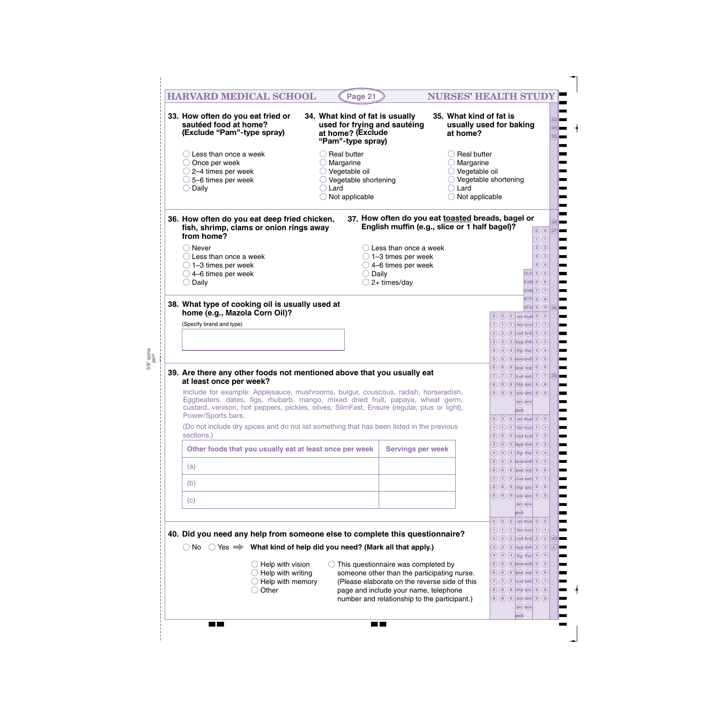| <b>HARVARD MEDICAL SCHOOL</b>                                                                                                                                                 | Page 21                                                                                                   |                                                   | <b>NURSES' HEALTH STUD</b>                                     |                                                                                                                                                                                           |                                    |                               |     |
|-------------------------------------------------------------------------------------------------------------------------------------------------------------------------------|-----------------------------------------------------------------------------------------------------------|---------------------------------------------------|----------------------------------------------------------------|-------------------------------------------------------------------------------------------------------------------------------------------------------------------------------------------|------------------------------------|-------------------------------|-----|
| 33. How often do you eat fried or<br>sautéed food at home?<br>(Exclude "Pam"-type spray)                                                                                      | 34. What kind of fat is usually<br>used for frying and sautéing<br>at home? (Exclude<br>"Pam"-type spray) |                                                   | 35. What kind of fat is<br>usually used for baking<br>at home? |                                                                                                                                                                                           |                                    |                               | 33) |
| $\bigcirc$ Less than once a week                                                                                                                                              | Real butter                                                                                               |                                                   | <b>Real butter</b>                                             |                                                                                                                                                                                           |                                    |                               |     |
| $\bigcirc$ Once per week                                                                                                                                                      | Margarine                                                                                                 |                                                   | $\bigcirc$ Margarine                                           |                                                                                                                                                                                           |                                    |                               |     |
| $\bigcirc$ 2–4 times per week                                                                                                                                                 | Vegetable oil                                                                                             |                                                   | $\bigcirc$ Vegetable oil<br>$\bigcirc$ Vegetable shortening    |                                                                                                                                                                                           |                                    |                               |     |
| $\bigcirc$ 5–6 times per week<br>$\supset$ Vegetable shortening<br>$\bigcirc$ Daily<br>$\bigcirc$ Lard                                                                        |                                                                                                           |                                                   | $\bigcirc$ Lard                                                |                                                                                                                                                                                           |                                    |                               |     |
|                                                                                                                                                                               | $\bigcirc$ Not applicable                                                                                 |                                                   | Not applicable                                                 |                                                                                                                                                                                           |                                    |                               |     |
| 36. How often do you eat deep fried chicken,                                                                                                                                  |                                                                                                           | 37. How often do you eat toasted breads, bagel or |                                                                |                                                                                                                                                                                           |                                    |                               |     |
| fish, shrimp, clams or onion rings away<br>from home?                                                                                                                         |                                                                                                           | English muffin (e.g., slice or 1 half bagel)?     |                                                                |                                                                                                                                                                                           |                                    | $\odot$ $\odot$ 37            |     |
| $\bigcirc$ Never                                                                                                                                                              |                                                                                                           | Less than once a week                             |                                                                |                                                                                                                                                                                           |                                    | $\bigcirc$<br>$\odot$ $\odot$ |     |
| $\bigcirc$ Less than once a week                                                                                                                                              |                                                                                                           | $\bigcirc$ 1-3 times per week                     |                                                                |                                                                                                                                                                                           |                                    | $\circled{3}$                 |     |
| $\bigcirc$ 1-3 times per week                                                                                                                                                 |                                                                                                           | $\bigcirc$ 4–6 times per week                     |                                                                |                                                                                                                                                                                           |                                    | $\circled{4}$                 |     |
| $\bigcirc$ 4–6 times per week                                                                                                                                                 |                                                                                                           | <b>Daily</b>                                      |                                                                |                                                                                                                                                                                           | $\Omega$ (5) (5)                   |                               |     |
| $\bigcirc$ Daily                                                                                                                                                              |                                                                                                           | 2+ times/day                                      |                                                                |                                                                                                                                                                                           | $CAN(6)$ (6)<br>$CRN(7)$ (7)       |                               |     |
|                                                                                                                                                                               |                                                                                                           |                                                   |                                                                |                                                                                                                                                                                           | $\circled{y}$ (8) (8)              |                               |     |
| 38. What type of cooking oil is usually used at<br>home (e.g., Mazola Corn Oil)?                                                                                              |                                                                                                           |                                                   |                                                                |                                                                                                                                                                                           | $\widehat{\text{VEG}}(9)$ (9) (38) |                               |     |
|                                                                                                                                                                               |                                                                                                           |                                                   |                                                                | $\begin{pmatrix} 0 & 0 & 0 \\ 0 & 0 & 0 \end{pmatrix}$ (as music $\begin{pmatrix} 0 & 0 & 0 \\ 0 & 0 & 0 \end{pmatrix}$                                                                   |                                    |                               |     |
| (Specify brand and type)                                                                                                                                                      |                                                                                                           |                                                   |                                                                | $\left( \begin{array}{ccc} 1 & 0 & 0 \\ 0 & 0 & 0 \end{array} \right)$ by cold $\left( \begin{array}{ccc} 1 & 0 & 0 \\ 0 & 0 & 0 \end{array} \right)$<br>$(2) (2) (2)$ (ad fire $(2) (2)$ |                                    |                               |     |
|                                                                                                                                                                               |                                                                                                           |                                                   |                                                                | $(3)(3)(3)$ egg dat $(3)(3)$                                                                                                                                                              |                                    |                               |     |
|                                                                                                                                                                               |                                                                                                           |                                                   |                                                                | $(4)$ $(4)$ $(4)$ $(1)$ $(1)$ $(4)$ $(4)$                                                                                                                                                 |                                    |                               |     |
|                                                                                                                                                                               |                                                                                                           |                                                   |                                                                | $(5)(5)(5)$ man mdf $(5)(5)$                                                                                                                                                              |                                    |                               |     |
| 39. Are there any other foods not mentioned above that you usually eat                                                                                                        |                                                                                                           |                                                   |                                                                | $6) 6) 6$ pap wg 6 6<br>$777$ as ver $7799$                                                                                                                                               |                                    |                               |     |
| at least once per week?                                                                                                                                                       |                                                                                                           |                                                   |                                                                | 8 (8) (8) http pic (8) (8)                                                                                                                                                                |                                    |                               |     |
| Include for example: Applesauce, mushrooms, bulgur, couscous, radish, horseradish,                                                                                            |                                                                                                           |                                                   |                                                                | $\left(9\right)$ $\left(9\right)$ $\left(9\right)$ $\left(9\right)$ $\left(9\right)$ $\left(9\right)$                                                                                     |                                    |                               |     |
| Eggbeaters, dates, figs, rhubarb, mango, mixed dried fruit, papaya, wheat germ,<br>custard, venison, hot peppers, pickles, olives, SlimFast, Ensure (reqular, plus or light), |                                                                                                           |                                                   |                                                                |                                                                                                                                                                                           | (en) (en)                          |                               |     |
| Power/Sports bars.                                                                                                                                                            |                                                                                                           |                                                   |                                                                | áwà<br>$\begin{pmatrix} 0 & 0 & 0 \\ 0 & 0 & 0 \\ 0 & 0 & 0 \end{pmatrix}$ (as music 0 $\begin{pmatrix} 0 & 0 & 0 \\ 0 & 0 & 0 \\ 0 & 0 & 0 \end{pmatrix}$                                |                                    |                               |     |
| (Do not include dry spices and do not list something that has been listed in the previous                                                                                     |                                                                                                           |                                                   |                                                                | $\left( \begin{array}{ccc} 1 & 0 & 0 \\ 0 & 0 & 0 \end{array} \right)$ by cold $\left( \begin{array}{ccc} 1 & 0 & 0 \\ 0 & 0 & 0 \end{array} \right)$                                     |                                    |                               |     |
| sections.)                                                                                                                                                                    |                                                                                                           |                                                   |                                                                | $(2) (2) (2)$ rad fire $(2) (2)$                                                                                                                                                          |                                    |                               |     |
| Other foods that you usually eat at least once per week                                                                                                                       |                                                                                                           | <b>Servings per week</b>                          |                                                                | $(3)(3)(3)$ egg dat $(3)(3)$                                                                                                                                                              |                                    |                               |     |
|                                                                                                                                                                               |                                                                                                           |                                                   |                                                                | $(4)$ $(4)$ $(4)$ $f$ ig) $f$ hu $(4)$ $(4)$                                                                                                                                              |                                    |                               |     |
| (a)                                                                                                                                                                           |                                                                                                           |                                                   |                                                                | $(5)(5)(5)$ man mdf $(5)(5)$<br>$6) 6) 6$ pap wg 6 6                                                                                                                                      |                                    |                               |     |
|                                                                                                                                                                               |                                                                                                           |                                                   |                                                                | $(7)$ $(7)$ cus ver $(7)$ $(7)$                                                                                                                                                           |                                    |                               |     |
| (b)                                                                                                                                                                           |                                                                                                           |                                                   |                                                                | 8 8 8 http pic 8 8                                                                                                                                                                        |                                    |                               |     |
| (c)                                                                                                                                                                           |                                                                                                           |                                                   |                                                                | $(9)$ (9) (9) (0) (9) (9) (9)                                                                                                                                                             |                                    |                               |     |
|                                                                                                                                                                               |                                                                                                           |                                                   |                                                                | áwb                                                                                                                                                                                       | $\binom{2}{2}$ en-                 |                               |     |
|                                                                                                                                                                               |                                                                                                           |                                                   |                                                                | $\begin{pmatrix} 0 & 0 & 0 \\ 0 & 0 & 0 \\ 0 & 0 & 0 \end{pmatrix}$ (as music 0 $\begin{pmatrix} 0 & 0 & 0 \\ 0 & 0 & 0 \\ 0 & 0 & 0 \end{pmatrix}$                                       |                                    |                               |     |
| 40. Did you need any help from someone else to complete this questionnaire?                                                                                                   |                                                                                                           |                                                   |                                                                | $\left( \begin{array}{c c} 1 & 0 \end{array} \right)$ (by cov $\left[ \begin{array}{c c} 1 & 0 \end{array} \right)$                                                                       |                                    |                               |     |
|                                                                                                                                                                               |                                                                                                           |                                                   |                                                                | $2(2(2)$ ad free $(2(2)$ 40                                                                                                                                                               |                                    |                               |     |
| $\bigcirc$ No $\bigcirc$ Yes $\Rightarrow$                                                                                                                                    | What kind of help did you need? (Mark all that apply.)                                                    |                                                   |                                                                | $(3)(3)(3)$ egg dat $(3)(3)(3)$                                                                                                                                                           |                                    |                               |     |
| $\bigcirc$ Help with vision                                                                                                                                                   |                                                                                                           | This questionnaire was completed by               |                                                                | $(4)$ $(4)$ $(4)$ $fig$ $flu$ $(4)$ $(4)$<br>$(5)(5)(5)$ man mdf $(5)(5)$                                                                                                                 |                                    |                               |     |
| $\bigcirc$ Help with writing                                                                                                                                                  |                                                                                                           | someone other than the participating nurse.       |                                                                | $6666$ $ap$ $wg$ 6 6                                                                                                                                                                      |                                    |                               |     |
| $\bigcirc$ Help with memory                                                                                                                                                   |                                                                                                           | (Please elaborate on the reverse side of this     |                                                                | $(7)$ $(7)$ cus ver $(7)$ $(7)$                                                                                                                                                           |                                    |                               |     |
| $\bigcirc$ Other                                                                                                                                                              |                                                                                                           | page and include your name, telephone             |                                                                | 8 8 8 http pic 8 8                                                                                                                                                                        |                                    |                               |     |
|                                                                                                                                                                               |                                                                                                           | number and relationship to the participant.)      |                                                                | $\left(9\right)$ $\left(9\right)$ $\left(0\right)$ $\left(1\right)$ $\left(9\right)$ $\left(9\right)$                                                                                     |                                    |                               |     |
|                                                                                                                                                                               |                                                                                                           |                                                   |                                                                | pwb                                                                                                                                                                                       | $(en)$ $(en)$                      |                               |     |
|                                                                                                                                                                               |                                                                                                           |                                                   |                                                                |                                                                                                                                                                                           |                                    |                               |     |